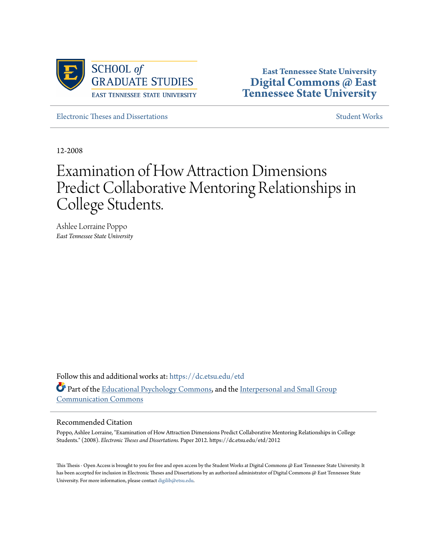

**East Tennessee State University [Digital Commons @ East](https://dc.etsu.edu?utm_source=dc.etsu.edu%2Fetd%2F2012&utm_medium=PDF&utm_campaign=PDFCoverPages) [Tennessee State University](https://dc.etsu.edu?utm_source=dc.etsu.edu%2Fetd%2F2012&utm_medium=PDF&utm_campaign=PDFCoverPages)**

[Electronic Theses and Dissertations](https://dc.etsu.edu/etd?utm_source=dc.etsu.edu%2Fetd%2F2012&utm_medium=PDF&utm_campaign=PDFCoverPages) [Student Works](https://dc.etsu.edu/student-works?utm_source=dc.etsu.edu%2Fetd%2F2012&utm_medium=PDF&utm_campaign=PDFCoverPages)

12-2008

# Examination of How Attraction Dimensions Predict Collaborative Mentoring Relationships in College Students.

Ashlee Lorraine Poppo *East Tennessee State University*

Follow this and additional works at: [https://dc.etsu.edu/etd](https://dc.etsu.edu/etd?utm_source=dc.etsu.edu%2Fetd%2F2012&utm_medium=PDF&utm_campaign=PDFCoverPages) Part of the [Educational Psychology Commons,](http://network.bepress.com/hgg/discipline/798?utm_source=dc.etsu.edu%2Fetd%2F2012&utm_medium=PDF&utm_campaign=PDFCoverPages) and the [Interpersonal and Small Group](http://network.bepress.com/hgg/discipline/332?utm_source=dc.etsu.edu%2Fetd%2F2012&utm_medium=PDF&utm_campaign=PDFCoverPages) [Communication Commons](http://network.bepress.com/hgg/discipline/332?utm_source=dc.etsu.edu%2Fetd%2F2012&utm_medium=PDF&utm_campaign=PDFCoverPages)

#### Recommended Citation

Poppo, Ashlee Lorraine, "Examination of How Attraction Dimensions Predict Collaborative Mentoring Relationships in College Students." (2008). *Electronic Theses and Dissertations.* Paper 2012. https://dc.etsu.edu/etd/2012

This Thesis - Open Access is brought to you for free and open access by the Student Works at Digital Commons @ East Tennessee State University. It has been accepted for inclusion in Electronic Theses and Dissertations by an authorized administrator of Digital Commons @ East Tennessee State University. For more information, please contact [digilib@etsu.edu.](mailto:digilib@etsu.edu)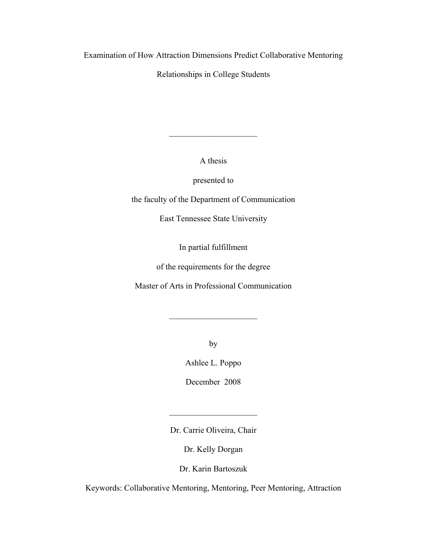Examination of How Attraction Dimensions Predict Collaborative Mentoring

Relationships in College Students

A thesis

 $\overline{\phantom{a}}$  , where  $\overline{\phantom{a}}$ 

presented to

the faculty of the Department of Communication

East Tennessee State University

In partial fulfillment

of the requirements for the degree

Master of Arts in Professional Communication

 $\overline{\phantom{a}}$  , where  $\overline{\phantom{a}}$  , where  $\overline{\phantom{a}}$  , where  $\overline{\phantom{a}}$ 

by

Ashlee L. Poppo

December 2008

Dr. Carrie Oliveira, Chair

 $\mathcal{L}_\text{max}$  , where  $\mathcal{L}_\text{max}$  , we have the set of  $\mathcal{L}_\text{max}$ 

Dr. Kelly Dorgan

Dr. Karin Bartoszuk

Keywords: Collaborative Mentoring, Mentoring, Peer Mentoring, Attraction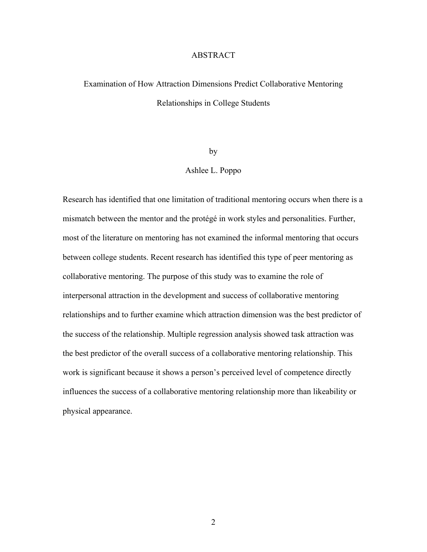# ABSTRACT

# Examination of How Attraction Dimensions Predict Collaborative Mentoring Relationships in College Students

by

# Ashlee L. Poppo

Research has identified that one limitation of traditional mentoring occurs when there is a mismatch between the mentor and the protégé in work styles and personalities. Further, most of the literature on mentoring has not examined the informal mentoring that occurs between college students. Recent research has identified this type of peer mentoring as collaborative mentoring. The purpose of this study was to examine the role of interpersonal attraction in the development and success of collaborative mentoring relationships and to further examine which attraction dimension was the best predictor of the success of the relationship. Multiple regression analysis showed task attraction was the best predictor of the overall success of a collaborative mentoring relationship. This work is significant because it shows a person's perceived level of competence directly influences the success of a collaborative mentoring relationship more than likeability or physical appearance.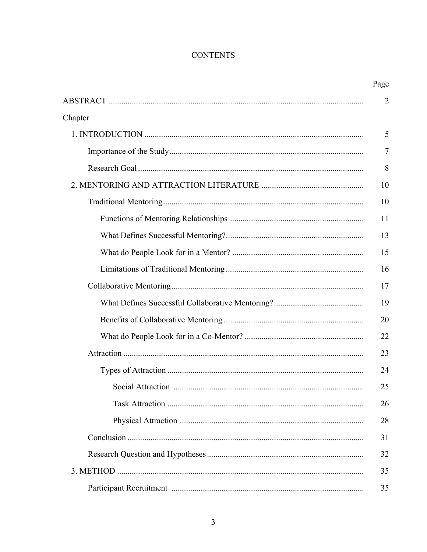# **CONTENTS**

|         | Page           |
|---------|----------------|
|         | $\overline{2}$ |
| Chapter |                |
|         | 5              |
|         | 7              |
|         | 8              |
|         | 10             |
|         | 10             |
|         | 11             |
|         | 13             |
|         | 15             |
|         | 16             |
|         | 17             |
|         | 19             |
|         | 20             |
|         | 22             |
|         | 23             |
|         | 24             |
|         | 25             |
|         | 26             |
|         | 28             |
|         | 31             |
|         | 32             |
|         | 35             |
|         | 35             |
|         |                |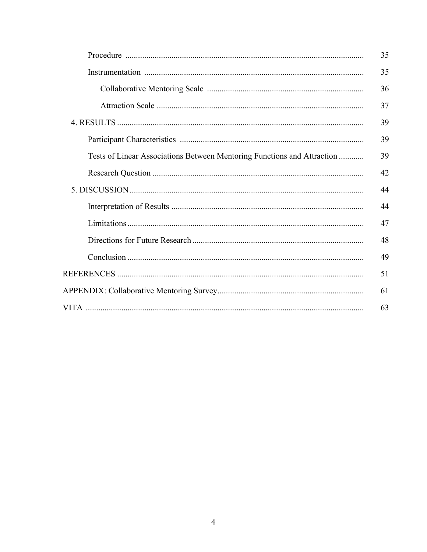|                                                                         | 35 |
|-------------------------------------------------------------------------|----|
|                                                                         | 35 |
|                                                                         | 36 |
|                                                                         | 37 |
|                                                                         | 39 |
|                                                                         | 39 |
| Tests of Linear Associations Between Mentoring Functions and Attraction | 39 |
|                                                                         | 42 |
|                                                                         | 44 |
|                                                                         | 44 |
|                                                                         | 47 |
|                                                                         | 48 |
|                                                                         | 49 |
|                                                                         | 51 |
|                                                                         | 61 |
|                                                                         | 63 |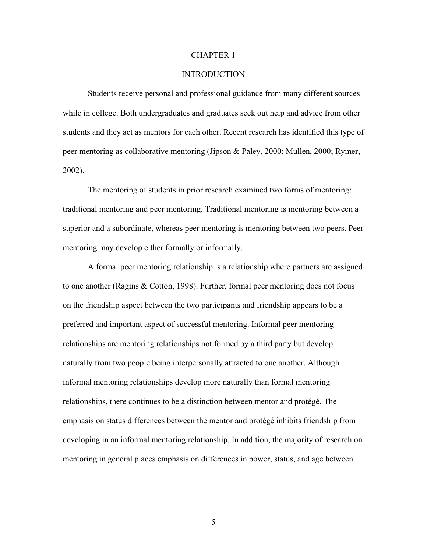#### CHAPTER 1

# **INTRODUCTION**

Students receive personal and professional guidance from many different sources while in college. Both undergraduates and graduates seek out help and advice from other students and they act as mentors for each other. Recent research has identified this type of peer mentoring as collaborative mentoring (Jipson & Paley, 2000; Mullen, 2000; Rymer, 2002).

The mentoring of students in prior research examined two forms of mentoring: traditional mentoring and peer mentoring. Traditional mentoring is mentoring between a superior and a subordinate, whereas peer mentoring is mentoring between two peers. Peer mentoring may develop either formally or informally.

A formal peer mentoring relationship is a relationship where partners are assigned to one another (Ragins & Cotton, 1998). Further, formal peer mentoring does not focus on the friendship aspect between the two participants and friendship appears to be a preferred and important aspect of successful mentoring. Informal peer mentoring relationships are mentoring relationships not formed by a third party but develop naturally from two people being interpersonally attracted to one another. Although informal mentoring relationships develop more naturally than formal mentoring relationships, there continues to be a distinction between mentor and protégé. The emphasis on status differences between the mentor and protégé inhibits friendship from developing in an informal mentoring relationship. In addition, the majority of research on mentoring in general places emphasis on differences in power, status, and age between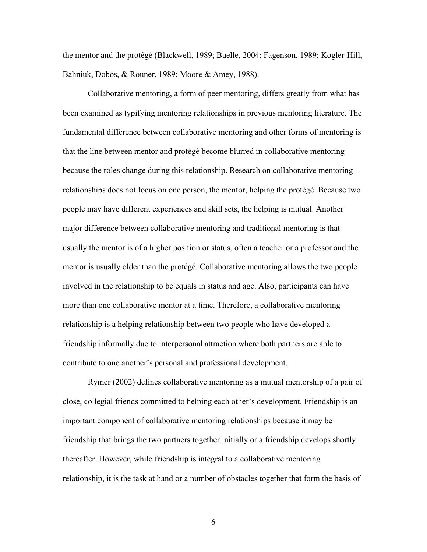the mentor and the protégé (Blackwell, 1989; Buelle, 2004; Fagenson, 1989; Kogler-Hill, Bahniuk, Dobos, & Rouner, 1989; Moore & Amey, 1988).

Collaborative mentoring, a form of peer mentoring, differs greatly from what has been examined as typifying mentoring relationships in previous mentoring literature. The fundamental difference between collaborative mentoring and other forms of mentoring is that the line between mentor and protégé become blurred in collaborative mentoring because the roles change during this relationship. Research on collaborative mentoring relationships does not focus on one person, the mentor, helping the protégé. Because two people may have different experiences and skill sets, the helping is mutual. Another major difference between collaborative mentoring and traditional mentoring is that usually the mentor is of a higher position or status, often a teacher or a professor and the mentor is usually older than the protégé. Collaborative mentoring allows the two people involved in the relationship to be equals in status and age. Also, participants can have more than one collaborative mentor at a time. Therefore, a collaborative mentoring relationship is a helping relationship between two people who have developed a friendship informally due to interpersonal attraction where both partners are able to contribute to one another's personal and professional development.

Rymer (2002) defines collaborative mentoring as a mutual mentorship of a pair of close, collegial friends committed to helping each other's development. Friendship is an important component of collaborative mentoring relationships because it may be friendship that brings the two partners together initially or a friendship develops shortly thereafter. However, while friendship is integral to a collaborative mentoring relationship, it is the task at hand or a number of obstacles together that form the basis of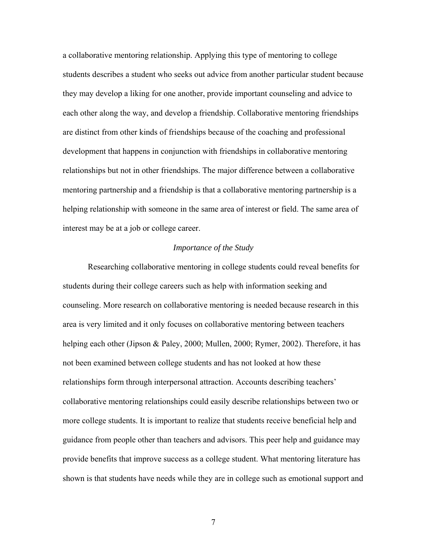a collaborative mentoring relationship. Applying this type of mentoring to college students describes a student who seeks out advice from another particular student because they may develop a liking for one another, provide important counseling and advice to each other along the way, and develop a friendship. Collaborative mentoring friendships are distinct from other kinds of friendships because of the coaching and professional development that happens in conjunction with friendships in collaborative mentoring relationships but not in other friendships. The major difference between a collaborative mentoring partnership and a friendship is that a collaborative mentoring partnership is a helping relationship with someone in the same area of interest or field. The same area of interest may be at a job or college career.

# *Importance of the Study*

Researching collaborative mentoring in college students could reveal benefits for students during their college careers such as help with information seeking and counseling. More research on collaborative mentoring is needed because research in this area is very limited and it only focuses on collaborative mentoring between teachers helping each other (Jipson & Paley, 2000; Mullen, 2000; Rymer, 2002). Therefore, it has not been examined between college students and has not looked at how these relationships form through interpersonal attraction. Accounts describing teachers' collaborative mentoring relationships could easily describe relationships between two or more college students. It is important to realize that students receive beneficial help and guidance from people other than teachers and advisors. This peer help and guidance may provide benefits that improve success as a college student. What mentoring literature has shown is that students have needs while they are in college such as emotional support and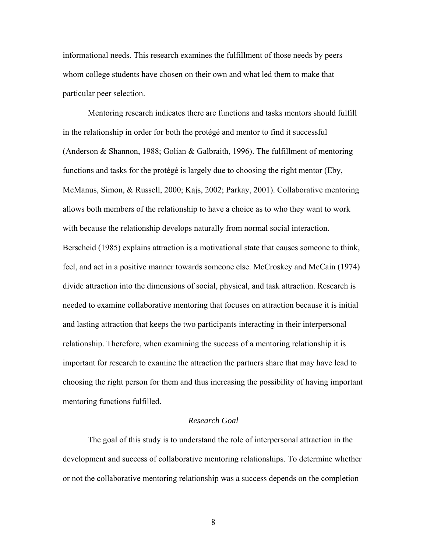informational needs. This research examines the fulfillment of those needs by peers whom college students have chosen on their own and what led them to make that particular peer selection.

Mentoring research indicates there are functions and tasks mentors should fulfill in the relationship in order for both the protégé and mentor to find it successful (Anderson & Shannon, 1988; Golian & Galbraith, 1996). The fulfillment of mentoring functions and tasks for the protégé is largely due to choosing the right mentor (Eby, McManus, Simon, & Russell, 2000; Kajs, 2002; Parkay, 2001). Collaborative mentoring allows both members of the relationship to have a choice as to who they want to work with because the relationship develops naturally from normal social interaction. Berscheid (1985) explains attraction is a motivational state that causes someone to think, feel, and act in a positive manner towards someone else. McCroskey and McCain (1974) divide attraction into the dimensions of social, physical, and task attraction. Research is needed to examine collaborative mentoring that focuses on attraction because it is initial and lasting attraction that keeps the two participants interacting in their interpersonal relationship. Therefore, when examining the success of a mentoring relationship it is important for research to examine the attraction the partners share that may have lead to choosing the right person for them and thus increasing the possibility of having important mentoring functions fulfilled.

# *Research Goal*

The goal of this study is to understand the role of interpersonal attraction in the development and success of collaborative mentoring relationships. To determine whether or not the collaborative mentoring relationship was a success depends on the completion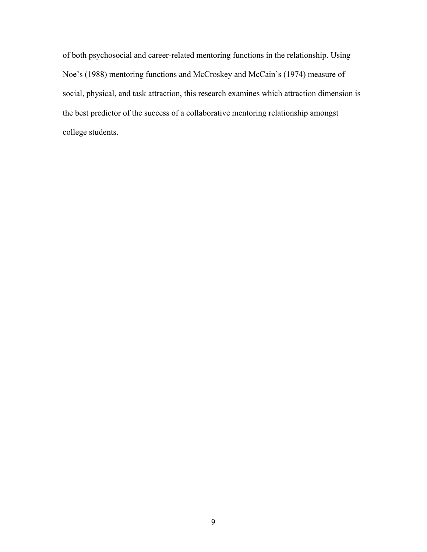of both psychosocial and career-related mentoring functions in the relationship. Using Noe's (1988) mentoring functions and McCroskey and McCain's (1974) measure of social, physical, and task attraction, this research examines which attraction dimension is the best predictor of the success of a collaborative mentoring relationship amongst college students.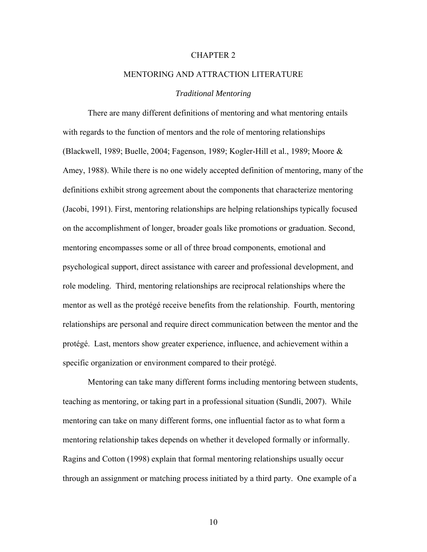#### CHAPTER 2

# MENTORING AND ATTRACTION LITERATURE

# *Traditional Mentoring*

There are many different definitions of mentoring and what mentoring entails with regards to the function of mentors and the role of mentoring relationships (Blackwell, 1989; Buelle, 2004; Fagenson, 1989; Kogler-Hill et al., 1989; Moore & Amey, 1988). While there is no one widely accepted definition of mentoring, many of the definitions exhibit strong agreement about the components that characterize mentoring (Jacobi, 1991). First, mentoring relationships are helping relationships typically focused on the accomplishment of longer, broader goals like promotions or graduation. Second, mentoring encompasses some or all of three broad components, emotional and psychological support, direct assistance with career and professional development, and role modeling. Third, mentoring relationships are reciprocal relationships where the mentor as well as the protégé receive benefits from the relationship. Fourth, mentoring relationships are personal and require direct communication between the mentor and the protégé. Last, mentors show greater experience, influence, and achievement within a specific organization or environment compared to their protégé.

Mentoring can take many different forms including mentoring between students, teaching as mentoring, or taking part in a professional situation (Sundli, 2007). While mentoring can take on many different forms, one influential factor as to what form a mentoring relationship takes depends on whether it developed formally or informally. Ragins and Cotton (1998) explain that formal mentoring relationships usually occur through an assignment or matching process initiated by a third party. One example of a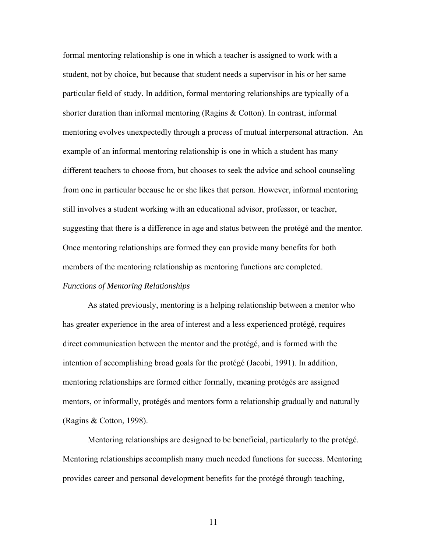formal mentoring relationship is one in which a teacher is assigned to work with a student, not by choice, but because that student needs a supervisor in his or her same particular field of study. In addition, formal mentoring relationships are typically of a shorter duration than informal mentoring (Ragins & Cotton). In contrast, informal mentoring evolves unexpectedly through a process of mutual interpersonal attraction. An example of an informal mentoring relationship is one in which a student has many different teachers to choose from, but chooses to seek the advice and school counseling from one in particular because he or she likes that person. However, informal mentoring still involves a student working with an educational advisor, professor, or teacher, suggesting that there is a difference in age and status between the protégé and the mentor. Once mentoring relationships are formed they can provide many benefits for both members of the mentoring relationship as mentoring functions are completed.

# *Functions of Mentoring Relationships*

As stated previously, mentoring is a helping relationship between a mentor who has greater experience in the area of interest and a less experienced protégé, requires direct communication between the mentor and the protégé, and is formed with the intention of accomplishing broad goals for the protégé (Jacobi, 1991). In addition, mentoring relationships are formed either formally, meaning protégés are assigned mentors, or informally, protégés and mentors form a relationship gradually and naturally (Ragins & Cotton, 1998).

Mentoring relationships are designed to be beneficial, particularly to the protégé. Mentoring relationships accomplish many much needed functions for success. Mentoring provides career and personal development benefits for the protégé through teaching,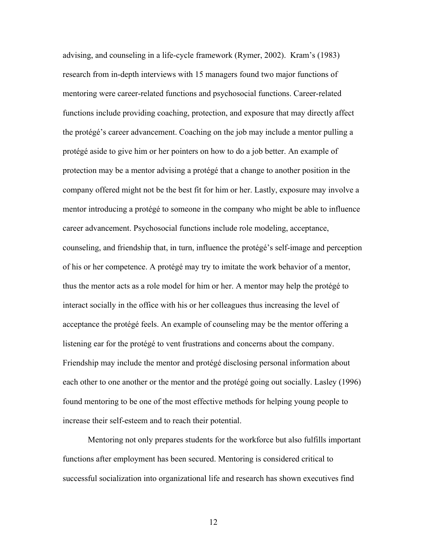advising, and counseling in a life-cycle framework (Rymer, 2002). Kram's (1983) research from in-depth interviews with 15 managers found two major functions of mentoring were career-related functions and psychosocial functions. Career-related functions include providing coaching, protection, and exposure that may directly affect the protégé's career advancement. Coaching on the job may include a mentor pulling a protégé aside to give him or her pointers on how to do a job better. An example of protection may be a mentor advising a protégé that a change to another position in the company offered might not be the best fit for him or her. Lastly, exposure may involve a mentor introducing a protégé to someone in the company who might be able to influence career advancement. Psychosocial functions include role modeling, acceptance, counseling, and friendship that, in turn, influence the protégé's self-image and perception of his or her competence. A protégé may try to imitate the work behavior of a mentor, thus the mentor acts as a role model for him or her. A mentor may help the protégé to interact socially in the office with his or her colleagues thus increasing the level of acceptance the protégé feels. An example of counseling may be the mentor offering a listening ear for the protégé to vent frustrations and concerns about the company. Friendship may include the mentor and protégé disclosing personal information about each other to one another or the mentor and the protégé going out socially. Lasley (1996) found mentoring to be one of the most effective methods for helping young people to increase their self-esteem and to reach their potential.

Mentoring not only prepares students for the workforce but also fulfills important functions after employment has been secured. Mentoring is considered critical to successful socialization into organizational life and research has shown executives find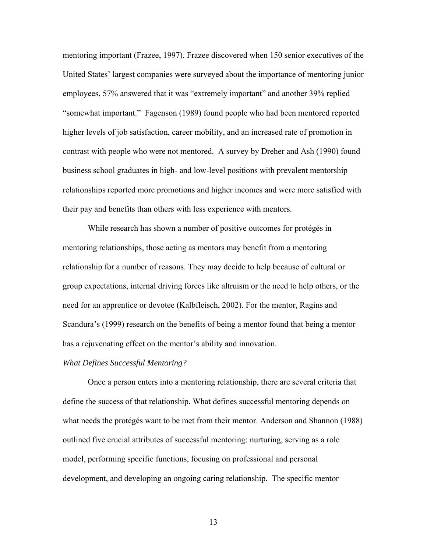mentoring important (Frazee, 1997). Frazee discovered when 150 senior executives of the United States' largest companies were surveyed about the importance of mentoring junior employees, 57% answered that it was "extremely important" and another 39% replied "somewhat important." Fagenson (1989) found people who had been mentored reported higher levels of job satisfaction, career mobility, and an increased rate of promotion in contrast with people who were not mentored. A survey by Dreher and Ash (1990) found business school graduates in high- and low-level positions with prevalent mentorship relationships reported more promotions and higher incomes and were more satisfied with their pay and benefits than others with less experience with mentors.

While research has shown a number of positive outcomes for protégés in mentoring relationships, those acting as mentors may benefit from a mentoring relationship for a number of reasons. They may decide to help because of cultural or group expectations, internal driving forces like altruism or the need to help others, or the need for an apprentice or devotee (Kalbfleisch, 2002). For the mentor, Ragins and Scandura's (1999) research on the benefits of being a mentor found that being a mentor has a rejuvenating effect on the mentor's ability and innovation.

# *What Defines Successful Mentoring?*

Once a person enters into a mentoring relationship, there are several criteria that define the success of that relationship. What defines successful mentoring depends on what needs the protégés want to be met from their mentor. Anderson and Shannon (1988) outlined five crucial attributes of successful mentoring: nurturing, serving as a role model, performing specific functions, focusing on professional and personal development, and developing an ongoing caring relationship. The specific mentor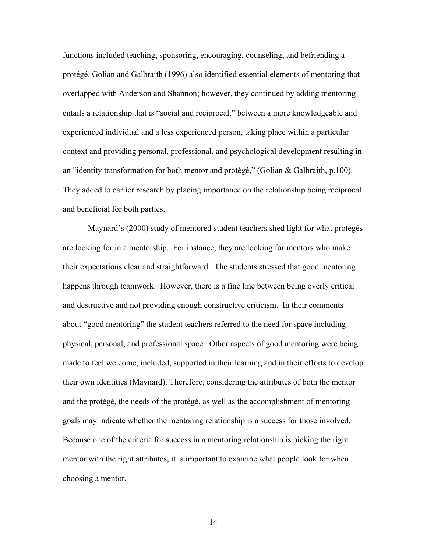functions included teaching, sponsoring, encouraging, counseling, and befriending a protégé. Golian and Galbraith (1996) also identified essential elements of mentoring that overlapped with Anderson and Shannon; however, they continued by adding mentoring entails a relationship that is "social and reciprocal," between a more knowledgeable and experienced individual and a less experienced person, taking place within a particular context and providing personal, professional, and psychological development resulting in an "identity transformation for both mentor and protégé," (Golian & Galbraith, p.100). They added to earlier research by placing importance on the relationship being reciprocal and beneficial for both parties.

Maynard's (2000) study of mentored student teachers shed light for what protégés are looking for in a mentorship. For instance, they are looking for mentors who make their expectations clear and straightforward. The students stressed that good mentoring happens through teamwork. However, there is a fine line between being overly critical and destructive and not providing enough constructive criticism. In their comments about "good mentoring" the student teachers referred to the need for space including physical, personal, and professional space. Other aspects of good mentoring were being made to feel welcome, included, supported in their learning and in their efforts to develop their own identities (Maynard). Therefore, considering the attributes of both the mentor and the protégé, the needs of the protégé, as well as the accomplishment of mentoring goals may indicate whether the mentoring relationship is a success for those involved. Because one of the criteria for success in a mentoring relationship is picking the right mentor with the right attributes, it is important to examine what people look for when choosing a mentor.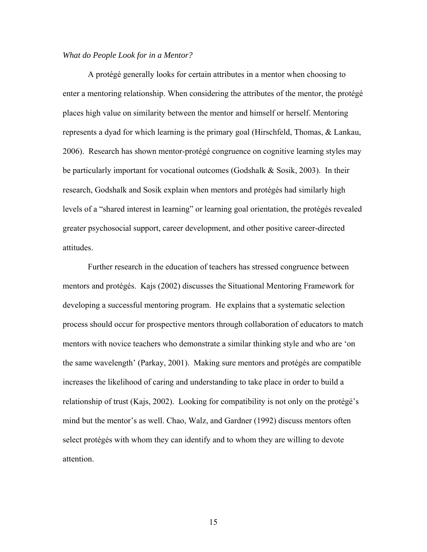# *What do People Look for in a Mentor?*

A protégé generally looks for certain attributes in a mentor when choosing to enter a mentoring relationship. When considering the attributes of the mentor, the protégé places high value on similarity between the mentor and himself or herself. Mentoring represents a dyad for which learning is the primary goal (Hirschfeld, Thomas, & Lankau, 2006). Research has shown mentor-protégé congruence on cognitive learning styles may be particularly important for vocational outcomes (Godshalk & Sosik, 2003). In their research, Godshalk and Sosik explain when mentors and protégés had similarly high levels of a "shared interest in learning" or learning goal orientation, the protégés revealed greater psychosocial support, career development, and other positive career-directed attitudes.

Further research in the education of teachers has stressed congruence between mentors and protégés. Kajs (2002) discusses the Situational Mentoring Framework for developing a successful mentoring program. He explains that a systematic selection process should occur for prospective mentors through collaboration of educators to match mentors with novice teachers who demonstrate a similar thinking style and who are 'on the same wavelength' (Parkay, 2001). Making sure mentors and protégés are compatible increases the likelihood of caring and understanding to take place in order to build a relationship of trust (Kajs, 2002). Looking for compatibility is not only on the protégé's mind but the mentor's as well. Chao, Walz, and Gardner (1992) discuss mentors often select protégés with whom they can identify and to whom they are willing to devote attention.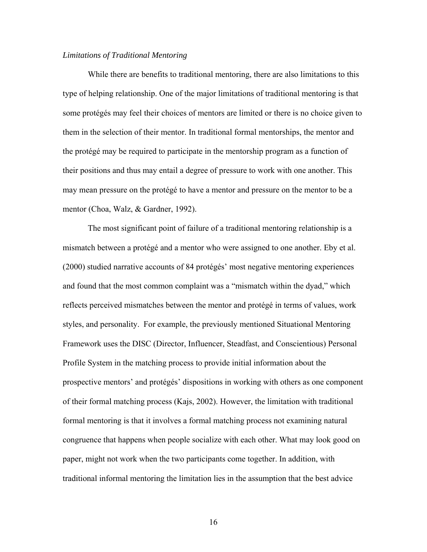# *Limitations of Traditional Mentoring*

While there are benefits to traditional mentoring, there are also limitations to this type of helping relationship. One of the major limitations of traditional mentoring is that some protégés may feel their choices of mentors are limited or there is no choice given to them in the selection of their mentor. In traditional formal mentorships, the mentor and the protégé may be required to participate in the mentorship program as a function of their positions and thus may entail a degree of pressure to work with one another. This may mean pressure on the protégé to have a mentor and pressure on the mentor to be a mentor (Choa, Walz, & Gardner, 1992).

The most significant point of failure of a traditional mentoring relationship is a mismatch between a protégé and a mentor who were assigned to one another. Eby et al. (2000) studied narrative accounts of 84 protégés' most negative mentoring experiences and found that the most common complaint was a "mismatch within the dyad," which reflects perceived mismatches between the mentor and protégé in terms of values, work styles, and personality. For example, the previously mentioned Situational Mentoring Framework uses the DISC (Director, Influencer, Steadfast, and Conscientious) Personal Profile System in the matching process to provide initial information about the prospective mentors' and protégés' dispositions in working with others as one component of their formal matching process (Kajs, 2002). However, the limitation with traditional formal mentoring is that it involves a formal matching process not examining natural congruence that happens when people socialize with each other. What may look good on paper, might not work when the two participants come together. In addition, with traditional informal mentoring the limitation lies in the assumption that the best advice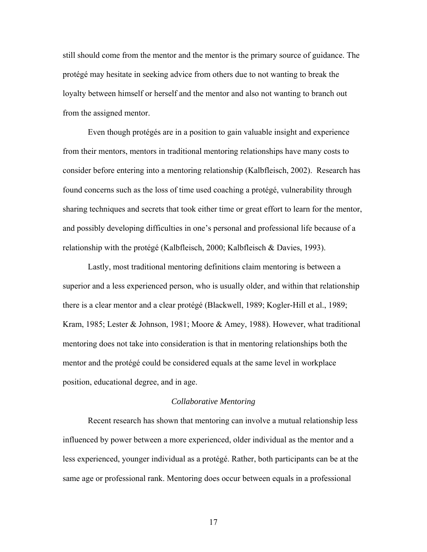still should come from the mentor and the mentor is the primary source of guidance. The protégé may hesitate in seeking advice from others due to not wanting to break the loyalty between himself or herself and the mentor and also not wanting to branch out from the assigned mentor.

Even though protégés are in a position to gain valuable insight and experience from their mentors, mentors in traditional mentoring relationships have many costs to consider before entering into a mentoring relationship (Kalbfleisch, 2002). Research has found concerns such as the loss of time used coaching a protégé, vulnerability through sharing techniques and secrets that took either time or great effort to learn for the mentor, and possibly developing difficulties in one's personal and professional life because of a relationship with the protégé (Kalbfleisch, 2000; Kalbfleisch & Davies, 1993).

Lastly, most traditional mentoring definitions claim mentoring is between a superior and a less experienced person, who is usually older, and within that relationship there is a clear mentor and a clear protégé (Blackwell, 1989; Kogler-Hill et al., 1989; Kram, 1985; Lester & Johnson, 1981; Moore & Amey, 1988). However, what traditional mentoring does not take into consideration is that in mentoring relationships both the mentor and the protégé could be considered equals at the same level in workplace position, educational degree, and in age.

#### *Collaborative Mentoring*

Recent research has shown that mentoring can involve a mutual relationship less influenced by power between a more experienced, older individual as the mentor and a less experienced, younger individual as a protégé. Rather, both participants can be at the same age or professional rank. Mentoring does occur between equals in a professional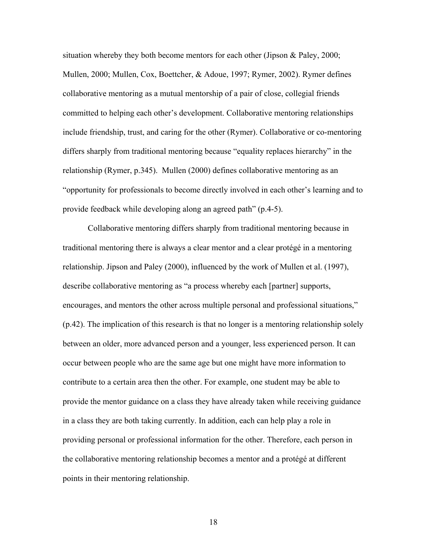situation whereby they both become mentors for each other (Jipson & Paley, 2000; Mullen, 2000; Mullen, Cox, Boettcher, & Adoue, 1997; Rymer, 2002). Rymer defines collaborative mentoring as a mutual mentorship of a pair of close, collegial friends committed to helping each other's development. Collaborative mentoring relationships include friendship, trust, and caring for the other (Rymer). Collaborative or co-mentoring differs sharply from traditional mentoring because "equality replaces hierarchy" in the relationship (Rymer, p.345). Mullen (2000) defines collaborative mentoring as an "opportunity for professionals to become directly involved in each other's learning and to provide feedback while developing along an agreed path" (p.4-5).

Collaborative mentoring differs sharply from traditional mentoring because in traditional mentoring there is always a clear mentor and a clear protégé in a mentoring relationship. Jipson and Paley (2000), influenced by the work of Mullen et al. (1997), describe collaborative mentoring as "a process whereby each [partner] supports, encourages, and mentors the other across multiple personal and professional situations," (p.42). The implication of this research is that no longer is a mentoring relationship solely between an older, more advanced person and a younger, less experienced person. It can occur between people who are the same age but one might have more information to contribute to a certain area then the other. For example, one student may be able to provide the mentor guidance on a class they have already taken while receiving guidance in a class they are both taking currently. In addition, each can help play a role in providing personal or professional information for the other. Therefore, each person in the collaborative mentoring relationship becomes a mentor and a protégé at different points in their mentoring relationship.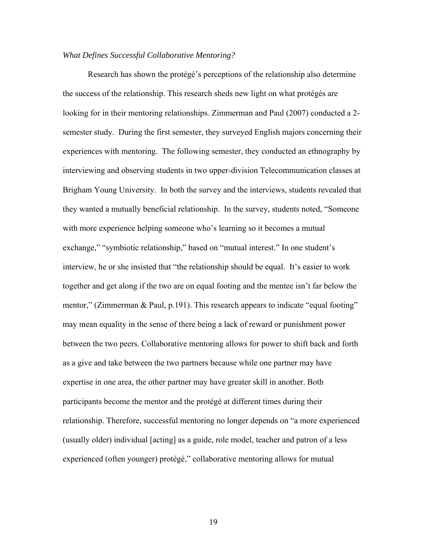# *What Defines Successful Collaborative Mentoring?*

Research has shown the protégé's perceptions of the relationship also determine the success of the relationship. This research sheds new light on what protégés are looking for in their mentoring relationships. Zimmerman and Paul (2007) conducted a 2 semester study. During the first semester, they surveyed English majors concerning their experiences with mentoring. The following semester, they conducted an ethnography by interviewing and observing students in two upper-division Telecommunication classes at Brigham Young University. In both the survey and the interviews, students revealed that they wanted a mutually beneficial relationship. In the survey, students noted, "Someone with more experience helping someone who's learning so it becomes a mutual exchange," "symbiotic relationship," based on "mutual interest." In one student's interview, he or she insisted that "the relationship should be equal. It's easier to work together and get along if the two are on equal footing and the mentee isn't far below the mentor," (Zimmerman & Paul, p.191). This research appears to indicate "equal footing" may mean equality in the sense of there being a lack of reward or punishment power between the two peers. Collaborative mentoring allows for power to shift back and forth as a give and take between the two partners because while one partner may have expertise in one area, the other partner may have greater skill in another. Both participants become the mentor and the protégé at different times during their relationship. Therefore, successful mentoring no longer depends on "a more experienced (usually older) individual [acting] as a guide, role model, teacher and patron of a less experienced (often younger) protégé," collaborative mentoring allows for mutual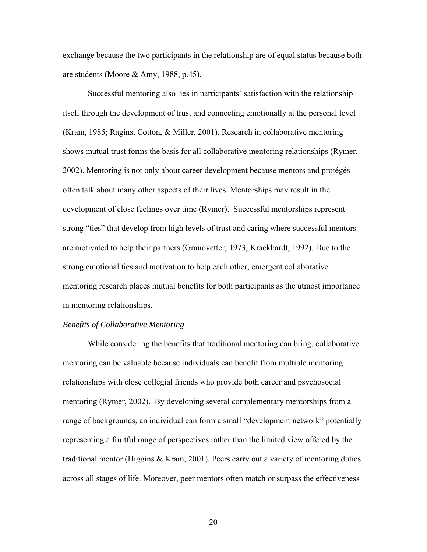exchange because the two participants in the relationship are of equal status because both are students (Moore & Amy, 1988, p.45).

Successful mentoring also lies in participants' satisfaction with the relationship itself through the development of trust and connecting emotionally at the personal level (Kram, 1985; Ragins, Cotton, & Miller, 2001). Research in collaborative mentoring shows mutual trust forms the basis for all collaborative mentoring relationships (Rymer, 2002). Mentoring is not only about career development because mentors and protégés often talk about many other aspects of their lives. Mentorships may result in the development of close feelings over time (Rymer). Successful mentorships represent strong "ties" that develop from high levels of trust and caring where successful mentors are motivated to help their partners (Granovetter, 1973; Krackhardt, 1992). Due to the strong emotional ties and motivation to help each other, emergent collaborative mentoring research places mutual benefits for both participants as the utmost importance in mentoring relationships.

#### *Benefits of Collaborative Mentoring*

While considering the benefits that traditional mentoring can bring, collaborative mentoring can be valuable because individuals can benefit from multiple mentoring relationships with close collegial friends who provide both career and psychosocial mentoring (Rymer, 2002). By developing several complementary mentorships from a range of backgrounds, an individual can form a small "development network" potentially representing a fruitful range of perspectives rather than the limited view offered by the traditional mentor (Higgins & Kram, 2001). Peers carry out a variety of mentoring duties across all stages of life. Moreover, peer mentors often match or surpass the effectiveness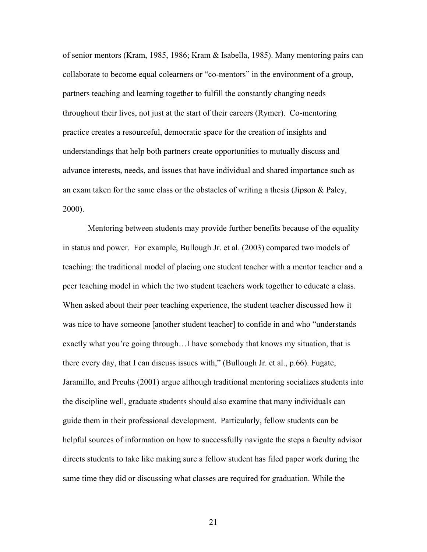of senior mentors (Kram, 1985, 1986; Kram & Isabella, 1985). Many mentoring pairs can collaborate to become equal colearners or "co-mentors" in the environment of a group, partners teaching and learning together to fulfill the constantly changing needs throughout their lives, not just at the start of their careers (Rymer). Co-mentoring practice creates a resourceful, democratic space for the creation of insights and understandings that help both partners create opportunities to mutually discuss and advance interests, needs, and issues that have individual and shared importance such as an exam taken for the same class or the obstacles of writing a thesis (Jipson & Paley, 2000).

Mentoring between students may provide further benefits because of the equality in status and power. For example, Bullough Jr. et al. (2003) compared two models of teaching: the traditional model of placing one student teacher with a mentor teacher and a peer teaching model in which the two student teachers work together to educate a class. When asked about their peer teaching experience, the student teacher discussed how it was nice to have someone [another student teacher] to confide in and who "understands exactly what you're going through…I have somebody that knows my situation, that is there every day, that I can discuss issues with," (Bullough Jr. et al., p.66). Fugate, Jaramillo, and Preuhs (2001) argue although traditional mentoring socializes students into the discipline well, graduate students should also examine that many individuals can guide them in their professional development. Particularly, fellow students can be helpful sources of information on how to successfully navigate the steps a faculty advisor directs students to take like making sure a fellow student has filed paper work during the same time they did or discussing what classes are required for graduation. While the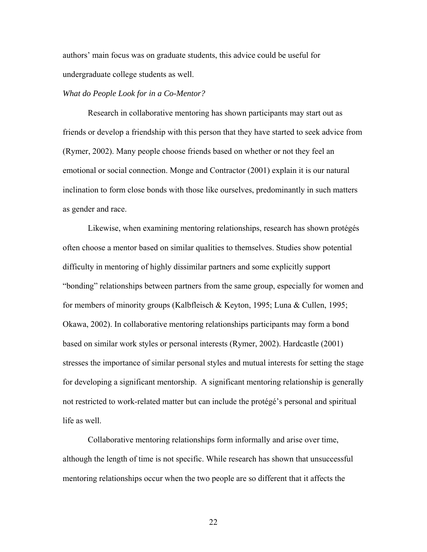authors' main focus was on graduate students, this advice could be useful for undergraduate college students as well.

# *What do People Look for in a Co-Mentor?*

Research in collaborative mentoring has shown participants may start out as friends or develop a friendship with this person that they have started to seek advice from (Rymer, 2002). Many people choose friends based on whether or not they feel an emotional or social connection. Monge and Contractor (2001) explain it is our natural inclination to form close bonds with those like ourselves, predominantly in such matters as gender and race.

Likewise, when examining mentoring relationships, research has shown protégés often choose a mentor based on similar qualities to themselves. Studies show potential difficulty in mentoring of highly dissimilar partners and some explicitly support "bonding" relationships between partners from the same group, especially for women and for members of minority groups (Kalbfleisch & Keyton, 1995; Luna & Cullen, 1995; Okawa, 2002). In collaborative mentoring relationships participants may form a bond based on similar work styles or personal interests (Rymer, 2002). Hardcastle (2001) stresses the importance of similar personal styles and mutual interests for setting the stage for developing a significant mentorship. A significant mentoring relationship is generally not restricted to work-related matter but can include the protégé's personal and spiritual life as well.

Collaborative mentoring relationships form informally and arise over time, although the length of time is not specific. While research has shown that unsuccessful mentoring relationships occur when the two people are so different that it affects the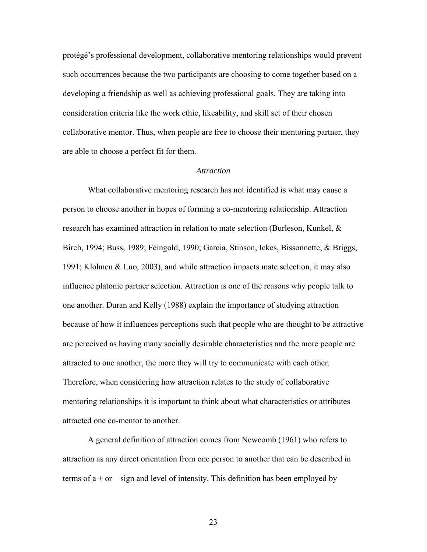protégé's professional development, collaborative mentoring relationships would prevent such occurrences because the two participants are choosing to come together based on a developing a friendship as well as achieving professional goals. They are taking into consideration criteria like the work ethic, likeability, and skill set of their chosen collaborative mentor. Thus, when people are free to choose their mentoring partner, they are able to choose a perfect fit for them.

## *Attraction*

What collaborative mentoring research has not identified is what may cause a person to choose another in hopes of forming a co-mentoring relationship. Attraction research has examined attraction in relation to mate selection (Burleson, Kunkel, & Birch, 1994; Buss, 1989; Feingold, 1990; Garcia, Stinson, Ickes, Bissonnette, & Briggs, 1991; Klohnen & Luo, 2003), and while attraction impacts mate selection, it may also influence platonic partner selection. Attraction is one of the reasons why people talk to one another. Duran and Kelly (1988) explain the importance of studying attraction because of how it influences perceptions such that people who are thought to be attractive are perceived as having many socially desirable characteristics and the more people are attracted to one another, the more they will try to communicate with each other. Therefore, when considering how attraction relates to the study of collaborative mentoring relationships it is important to think about what characteristics or attributes attracted one co-mentor to another.

A general definition of attraction comes from Newcomb (1961) who refers to attraction as any direct orientation from one person to another that can be described in terms of  $a + or - sign$  and level of intensity. This definition has been employed by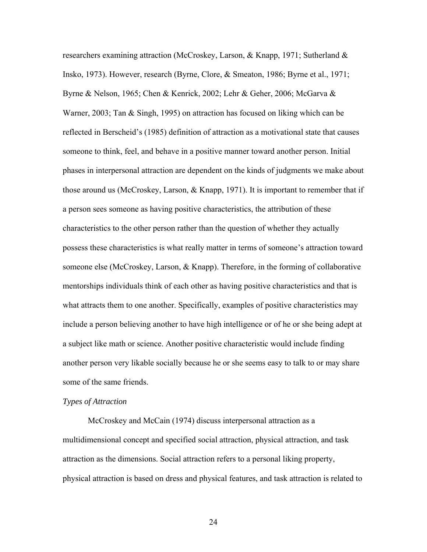researchers examining attraction (McCroskey, Larson, & Knapp, 1971; Sutherland & Insko, 1973). However, research (Byrne, Clore, & Smeaton, 1986; Byrne et al., 1971; Byrne & Nelson, 1965; Chen & Kenrick, 2002; Lehr & Geher, 2006; McGarva & Warner, 2003; Tan & Singh, 1995) on attraction has focused on liking which can be reflected in Berscheid's (1985) definition of attraction as a motivational state that causes someone to think, feel, and behave in a positive manner toward another person. Initial phases in interpersonal attraction are dependent on the kinds of judgments we make about those around us (McCroskey, Larson, & Knapp, 1971). It is important to remember that if a person sees someone as having positive characteristics, the attribution of these characteristics to the other person rather than the question of whether they actually possess these characteristics is what really matter in terms of someone's attraction toward someone else (McCroskey, Larson, & Knapp). Therefore, in the forming of collaborative mentorships individuals think of each other as having positive characteristics and that is what attracts them to one another. Specifically, examples of positive characteristics may include a person believing another to have high intelligence or of he or she being adept at a subject like math or science. Another positive characteristic would include finding another person very likable socially because he or she seems easy to talk to or may share some of the same friends.

# *Types of Attraction*

McCroskey and McCain (1974) discuss interpersonal attraction as a multidimensional concept and specified social attraction, physical attraction, and task attraction as the dimensions. Social attraction refers to a personal liking property, physical attraction is based on dress and physical features, and task attraction is related to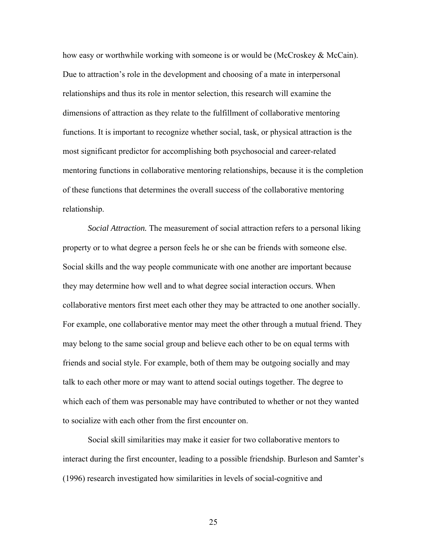how easy or worthwhile working with someone is or would be (McCroskey  $\&$  McCain). Due to attraction's role in the development and choosing of a mate in interpersonal relationships and thus its role in mentor selection, this research will examine the dimensions of attraction as they relate to the fulfillment of collaborative mentoring functions. It is important to recognize whether social, task, or physical attraction is the most significant predictor for accomplishing both psychosocial and career-related mentoring functions in collaborative mentoring relationships, because it is the completion of these functions that determines the overall success of the collaborative mentoring relationship.

 *Social Attraction.* The measurement of social attraction refers to a personal liking property or to what degree a person feels he or she can be friends with someone else. Social skills and the way people communicate with one another are important because they may determine how well and to what degree social interaction occurs. When collaborative mentors first meet each other they may be attracted to one another socially. For example, one collaborative mentor may meet the other through a mutual friend. They may belong to the same social group and believe each other to be on equal terms with friends and social style. For example, both of them may be outgoing socially and may talk to each other more or may want to attend social outings together. The degree to which each of them was personable may have contributed to whether or not they wanted to socialize with each other from the first encounter on.

Social skill similarities may make it easier for two collaborative mentors to interact during the first encounter, leading to a possible friendship. Burleson and Samter's (1996) research investigated how similarities in levels of social-cognitive and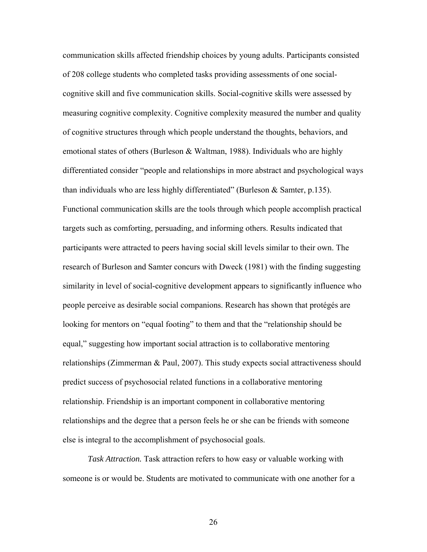communication skills affected friendship choices by young adults. Participants consisted of 208 college students who completed tasks providing assessments of one socialcognitive skill and five communication skills. Social-cognitive skills were assessed by measuring cognitive complexity. Cognitive complexity measured the number and quality of cognitive structures through which people understand the thoughts, behaviors, and emotional states of others (Burleson & Waltman, 1988). Individuals who are highly differentiated consider "people and relationships in more abstract and psychological ways than individuals who are less highly differentiated" (Burleson  $&$  Samter, p.135). Functional communication skills are the tools through which people accomplish practical targets such as comforting, persuading, and informing others. Results indicated that participants were attracted to peers having social skill levels similar to their own. The research of Burleson and Samter concurs with Dweck (1981) with the finding suggesting similarity in level of social-cognitive development appears to significantly influence who people perceive as desirable social companions. Research has shown that protégés are looking for mentors on "equal footing" to them and that the "relationship should be equal," suggesting how important social attraction is to collaborative mentoring relationships (Zimmerman & Paul, 2007). This study expects social attractiveness should predict success of psychosocial related functions in a collaborative mentoring relationship. Friendship is an important component in collaborative mentoring relationships and the degree that a person feels he or she can be friends with someone else is integral to the accomplishment of psychosocial goals.

*Task Attraction.* Task attraction refers to how easy or valuable working with someone is or would be. Students are motivated to communicate with one another for a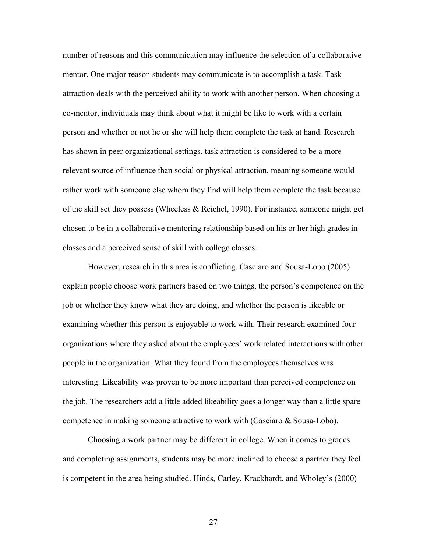number of reasons and this communication may influence the selection of a collaborative mentor. One major reason students may communicate is to accomplish a task. Task attraction deals with the perceived ability to work with another person. When choosing a co-mentor, individuals may think about what it might be like to work with a certain person and whether or not he or she will help them complete the task at hand. Research has shown in peer organizational settings, task attraction is considered to be a more relevant source of influence than social or physical attraction, meaning someone would rather work with someone else whom they find will help them complete the task because of the skill set they possess (Wheeless & Reichel, 1990). For instance, someone might get chosen to be in a collaborative mentoring relationship based on his or her high grades in classes and a perceived sense of skill with college classes.

However, research in this area is conflicting. Casciaro and Sousa-Lobo (2005) explain people choose work partners based on two things, the person's competence on the job or whether they know what they are doing, and whether the person is likeable or examining whether this person is enjoyable to work with. Their research examined four organizations where they asked about the employees' work related interactions with other people in the organization. What they found from the employees themselves was interesting. Likeability was proven to be more important than perceived competence on the job. The researchers add a little added likeability goes a longer way than a little spare competence in making someone attractive to work with (Casciaro & Sousa-Lobo).

Choosing a work partner may be different in college. When it comes to grades and completing assignments, students may be more inclined to choose a partner they feel is competent in the area being studied. Hinds, Carley, Krackhardt, and Wholey's (2000)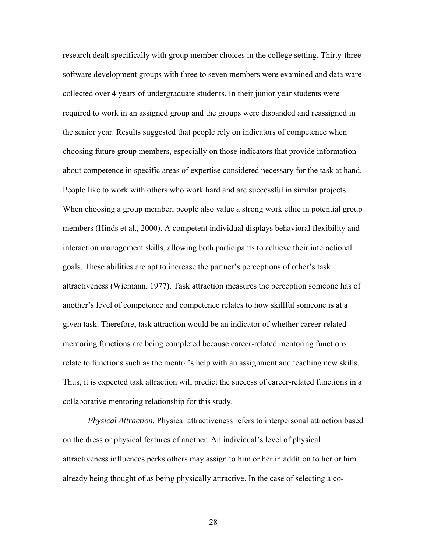research dealt specifically with group member choices in the college setting. Thirty-three software development groups with three to seven members were examined and data ware collected over 4 years of undergraduate students. In their junior year students were required to work in an assigned group and the groups were disbanded and reassigned in the senior year. Results suggested that people rely on indicators of competence when choosing future group members, especially on those indicators that provide information about competence in specific areas of expertise considered necessary for the task at hand. People like to work with others who work hard and are successful in similar projects. When choosing a group member, people also value a strong work ethic in potential group members (Hinds et al., 2000). A competent individual displays behavioral flexibility and interaction management skills, allowing both participants to achieve their interactional goals. These abilities are apt to increase the partner's perceptions of other's task attractiveness (Wiemann, 1977). Task attraction measures the perception someone has of another's level of competence and competence relates to how skillful someone is at a given task. Therefore, task attraction would be an indicator of whether career-related mentoring functions are being completed because career-related mentoring functions relate to functions such as the mentor's help with an assignment and teaching new skills. Thus, it is expected task attraction will predict the success of career-related functions in a collaborative mentoring relationship for this study.

*Physical Attraction.* Physical attractiveness refers to interpersonal attraction based on the dress or physical features of another. An individual's level of physical attractiveness influences perks others may assign to him or her in addition to her or him already being thought of as being physically attractive. In the case of selecting a co-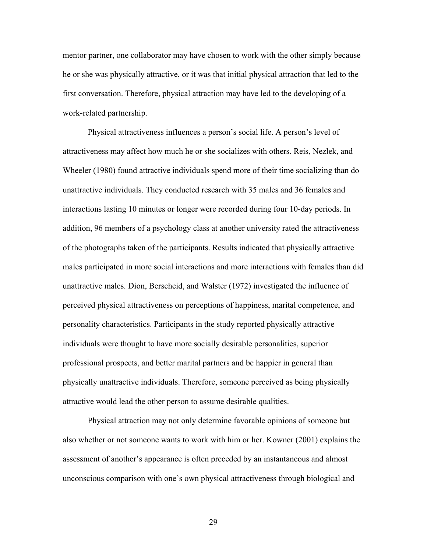mentor partner, one collaborator may have chosen to work with the other simply because he or she was physically attractive, or it was that initial physical attraction that led to the first conversation. Therefore, physical attraction may have led to the developing of a work-related partnership.

Physical attractiveness influences a person's social life. A person's level of attractiveness may affect how much he or she socializes with others. Reis, Nezlek, and Wheeler (1980) found attractive individuals spend more of their time socializing than do unattractive individuals. They conducted research with 35 males and 36 females and interactions lasting 10 minutes or longer were recorded during four 10-day periods. In addition, 96 members of a psychology class at another university rated the attractiveness of the photographs taken of the participants. Results indicated that physically attractive males participated in more social interactions and more interactions with females than did unattractive males. Dion, Berscheid, and Walster (1972) investigated the influence of perceived physical attractiveness on perceptions of happiness, marital competence, and personality characteristics. Participants in the study reported physically attractive individuals were thought to have more socially desirable personalities, superior professional prospects, and better marital partners and be happier in general than physically unattractive individuals. Therefore, someone perceived as being physically attractive would lead the other person to assume desirable qualities.

Physical attraction may not only determine favorable opinions of someone but also whether or not someone wants to work with him or her. Kowner (2001) explains the assessment of another's appearance is often preceded by an instantaneous and almost unconscious comparison with one's own physical attractiveness through biological and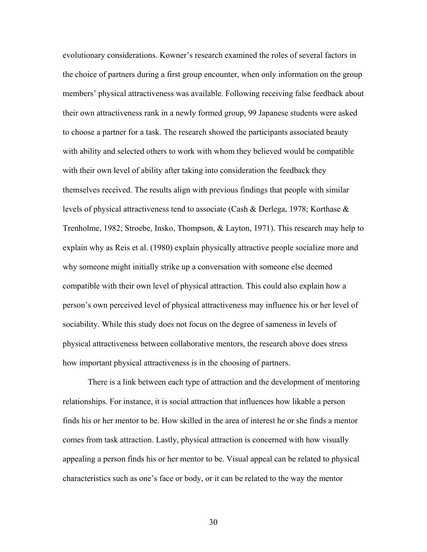evolutionary considerations. Kowner's research examined the roles of several factors in the choice of partners during a first group encounter, when only information on the group members' physical attractiveness was available. Following receiving false feedback about their own attractiveness rank in a newly formed group, 99 Japanese students were asked to choose a partner for a task. The research showed the participants associated beauty with ability and selected others to work with whom they believed would be compatible with their own level of ability after taking into consideration the feedback they themselves received. The results align with previous findings that people with similar levels of physical attractiveness tend to associate (Cash & Derlega, 1978; Korthase & Trenholme, 1982; Stroebe, Insko, Thompson, & Layton, 1971). This research may help to explain why as Reis et al. (1980) explain physically attractive people socialize more and why someone might initially strike up a conversation with someone else deemed compatible with their own level of physical attraction. This could also explain how a person's own perceived level of physical attractiveness may influence his or her level of sociability. While this study does not focus on the degree of sameness in levels of physical attractiveness between collaborative mentors, the research above does stress how important physical attractiveness is in the choosing of partners.

 There is a link between each type of attraction and the development of mentoring relationships. For instance, it is social attraction that influences how likable a person finds his or her mentor to be. How skilled in the area of interest he or she finds a mentor comes from task attraction. Lastly, physical attraction is concerned with how visually appealing a person finds his or her mentor to be. Visual appeal can be related to physical characteristics such as one's face or body, or it can be related to the way the mentor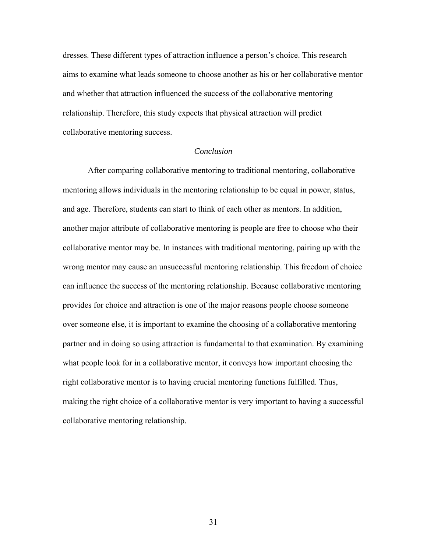dresses. These different types of attraction influence a person's choice. This research aims to examine what leads someone to choose another as his or her collaborative mentor and whether that attraction influenced the success of the collaborative mentoring relationship. Therefore, this study expects that physical attraction will predict collaborative mentoring success.

# *Conclusion*

 After comparing collaborative mentoring to traditional mentoring, collaborative mentoring allows individuals in the mentoring relationship to be equal in power, status, and age. Therefore, students can start to think of each other as mentors. In addition, another major attribute of collaborative mentoring is people are free to choose who their collaborative mentor may be. In instances with traditional mentoring, pairing up with the wrong mentor may cause an unsuccessful mentoring relationship. This freedom of choice can influence the success of the mentoring relationship. Because collaborative mentoring provides for choice and attraction is one of the major reasons people choose someone over someone else, it is important to examine the choosing of a collaborative mentoring partner and in doing so using attraction is fundamental to that examination. By examining what people look for in a collaborative mentor, it conveys how important choosing the right collaborative mentor is to having crucial mentoring functions fulfilled. Thus, making the right choice of a collaborative mentor is very important to having a successful collaborative mentoring relationship.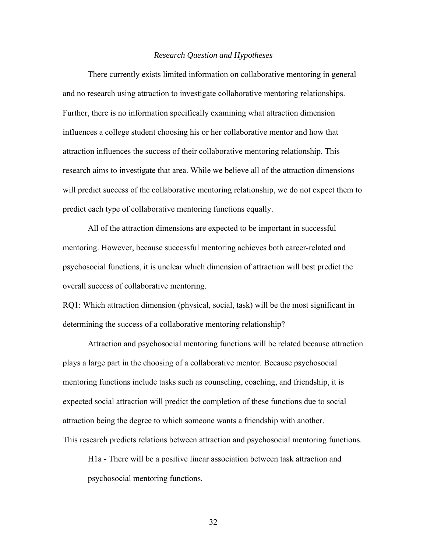#### *Research Question and Hypotheses*

 There currently exists limited information on collaborative mentoring in general and no research using attraction to investigate collaborative mentoring relationships. Further, there is no information specifically examining what attraction dimension influences a college student choosing his or her collaborative mentor and how that attraction influences the success of their collaborative mentoring relationship. This research aims to investigate that area. While we believe all of the attraction dimensions will predict success of the collaborative mentoring relationship, we do not expect them to predict each type of collaborative mentoring functions equally.

 All of the attraction dimensions are expected to be important in successful mentoring. However, because successful mentoring achieves both career-related and psychosocial functions, it is unclear which dimension of attraction will best predict the overall success of collaborative mentoring.

RQ1: Which attraction dimension (physical, social, task) will be the most significant in determining the success of a collaborative mentoring relationship?

Attraction and psychosocial mentoring functions will be related because attraction plays a large part in the choosing of a collaborative mentor. Because psychosocial mentoring functions include tasks such as counseling, coaching, and friendship, it is expected social attraction will predict the completion of these functions due to social attraction being the degree to which someone wants a friendship with another. This research predicts relations between attraction and psychosocial mentoring functions.

H1a - There will be a positive linear association between task attraction and psychosocial mentoring functions.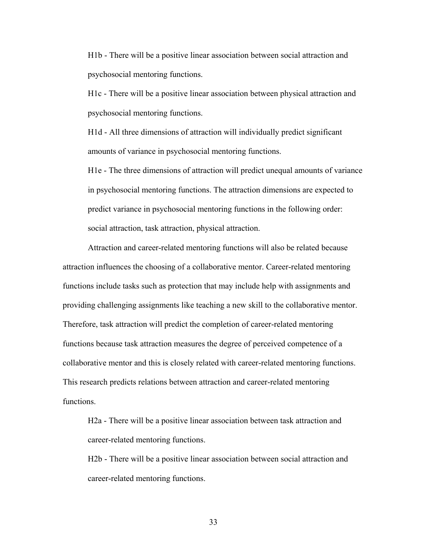H1b - There will be a positive linear association between social attraction and psychosocial mentoring functions.

H1c - There will be a positive linear association between physical attraction and psychosocial mentoring functions.

H1d - All three dimensions of attraction will individually predict significant amounts of variance in psychosocial mentoring functions.

H1e - The three dimensions of attraction will predict unequal amounts of variance in psychosocial mentoring functions. The attraction dimensions are expected to predict variance in psychosocial mentoring functions in the following order: social attraction, task attraction, physical attraction.

Attraction and career-related mentoring functions will also be related because attraction influences the choosing of a collaborative mentor. Career-related mentoring functions include tasks such as protection that may include help with assignments and providing challenging assignments like teaching a new skill to the collaborative mentor. Therefore, task attraction will predict the completion of career-related mentoring functions because task attraction measures the degree of perceived competence of a collaborative mentor and this is closely related with career-related mentoring functions. This research predicts relations between attraction and career-related mentoring functions.

H2a - There will be a positive linear association between task attraction and career-related mentoring functions.

H2b - There will be a positive linear association between social attraction and career-related mentoring functions.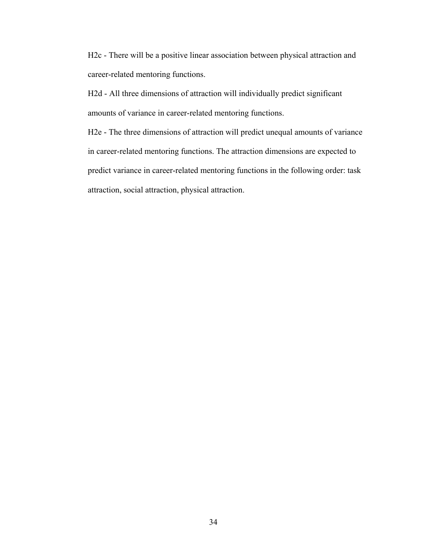H2c - There will be a positive linear association between physical attraction and career-related mentoring functions.

H2d - All three dimensions of attraction will individually predict significant amounts of variance in career-related mentoring functions.

H2e - The three dimensions of attraction will predict unequal amounts of variance in career-related mentoring functions. The attraction dimensions are expected to predict variance in career-related mentoring functions in the following order: task attraction, social attraction, physical attraction.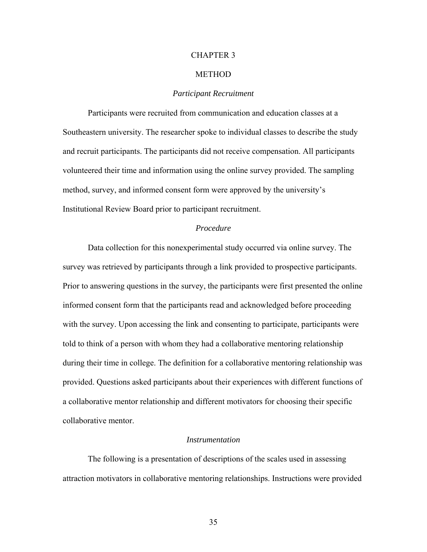#### CHAPTER 3

#### METHOD

# *Participant Recruitment*

 Participants were recruited from communication and education classes at a Southeastern university. The researcher spoke to individual classes to describe the study and recruit participants. The participants did not receive compensation. All participants volunteered their time and information using the online survey provided. The sampling method, survey, and informed consent form were approved by the university's Institutional Review Board prior to participant recruitment.

# *Procedure*

 Data collection for this nonexperimental study occurred via online survey. The survey was retrieved by participants through a link provided to prospective participants. Prior to answering questions in the survey, the participants were first presented the online informed consent form that the participants read and acknowledged before proceeding with the survey. Upon accessing the link and consenting to participate, participants were told to think of a person with whom they had a collaborative mentoring relationship during their time in college. The definition for a collaborative mentoring relationship was provided. Questions asked participants about their experiences with different functions of a collaborative mentor relationship and different motivators for choosing their specific collaborative mentor.

#### *Instrumentation*

The following is a presentation of descriptions of the scales used in assessing attraction motivators in collaborative mentoring relationships. Instructions were provided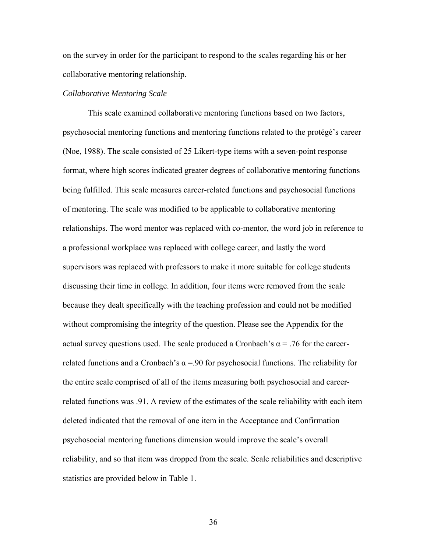on the survey in order for the participant to respond to the scales regarding his or her collaborative mentoring relationship.

#### *Collaborative Mentoring Scale*

This scale examined collaborative mentoring functions based on two factors, psychosocial mentoring functions and mentoring functions related to the protégé's career (Noe, 1988). The scale consisted of 25 Likert-type items with a seven-point response format, where high scores indicated greater degrees of collaborative mentoring functions being fulfilled. This scale measures career-related functions and psychosocial functions of mentoring. The scale was modified to be applicable to collaborative mentoring relationships. The word mentor was replaced with co-mentor, the word job in reference to a professional workplace was replaced with college career, and lastly the word supervisors was replaced with professors to make it more suitable for college students discussing their time in college. In addition, four items were removed from the scale because they dealt specifically with the teaching profession and could not be modified without compromising the integrity of the question. Please see the Appendix for the actual survey questions used. The scale produced a Cronbach's  $\alpha$  = .76 for the careerrelated functions and a Cronbach's  $\alpha$  =.90 for psychosocial functions. The reliability for the entire scale comprised of all of the items measuring both psychosocial and careerrelated functions was .91. A review of the estimates of the scale reliability with each item deleted indicated that the removal of one item in the Acceptance and Confirmation psychosocial mentoring functions dimension would improve the scale's overall reliability, and so that item was dropped from the scale. Scale reliabilities and descriptive statistics are provided below in Table 1.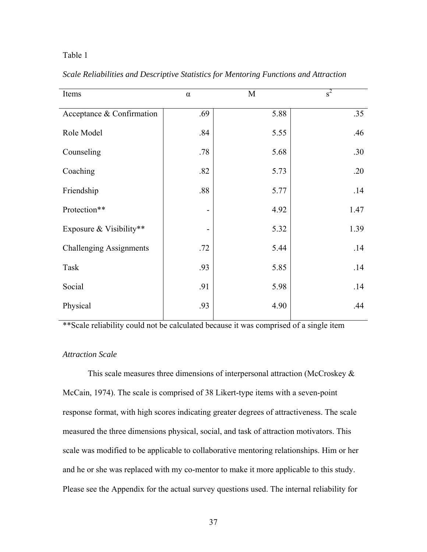# Table 1

| Items                          | $\alpha$ | M    | $s^2$ |
|--------------------------------|----------|------|-------|
| Acceptance & Confirmation      | .69      | 5.88 | .35   |
| Role Model                     | .84      | 5.55 | .46   |
| Counseling                     | .78      | 5.68 | .30   |
| Coaching                       | .82      | 5.73 | .20   |
| Friendship                     | .88      | 5.77 | .14   |
| Protection**                   | -        | 4.92 | 1.47  |
| Exposure & Visibility**        | -        | 5.32 | 1.39  |
| <b>Challenging Assignments</b> | .72      | 5.44 | .14   |
| Task                           | .93      | 5.85 | .14   |
| Social                         | .91      | 5.98 | .14   |
| Physical                       | .93      | 4.90 | .44   |

*Scale Reliabilities and Descriptive Statistics for Mentoring Functions and Attraction* 

\*\*Scale reliability could not be calculated because it was comprised of a single item

# *Attraction Scale*

This scale measures three dimensions of interpersonal attraction (McCroskey & McCain, 1974). The scale is comprised of 38 Likert-type items with a seven-point response format, with high scores indicating greater degrees of attractiveness. The scale measured the three dimensions physical, social, and task of attraction motivators. This scale was modified to be applicable to collaborative mentoring relationships. Him or her and he or she was replaced with my co-mentor to make it more applicable to this study. Please see the Appendix for the actual survey questions used. The internal reliability for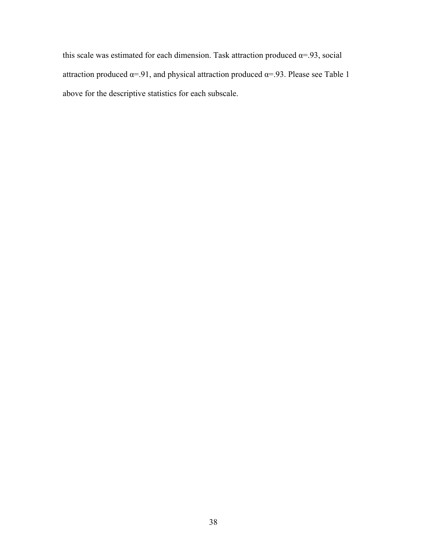this scale was estimated for each dimension. Task attraction produced  $\alpha$ =.93, social attraction produced  $\alpha$ =.91, and physical attraction produced  $\alpha$ =.93. Please see Table 1 above for the descriptive statistics for each subscale.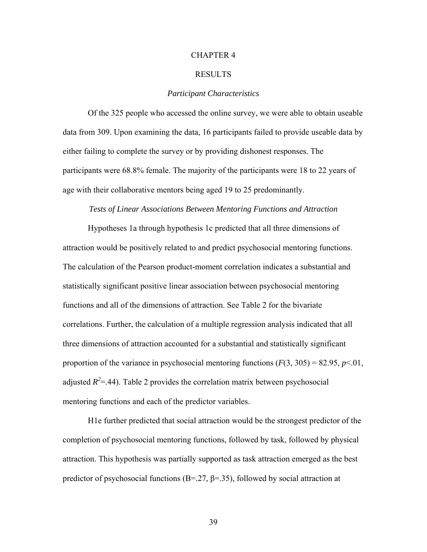#### CHAPTER 4

#### RESULTS

# *Participant Characteristics*

 Of the 325 people who accessed the online survey, we were able to obtain useable data from 309. Upon examining the data, 16 participants failed to provide useable data by either failing to complete the survey or by providing dishonest responses. The participants were 68.8% female. The majority of the participants were 18 to 22 years of age with their collaborative mentors being aged 19 to 25 predominantly.

#### *Tests of Linear Associations Between Mentoring Functions and Attraction*

Hypotheses 1a through hypothesis 1c predicted that all three dimensions of attraction would be positively related to and predict psychosocial mentoring functions. The calculation of the Pearson product-moment correlation indicates a substantial and statistically significant positive linear association between psychosocial mentoring functions and all of the dimensions of attraction. See Table 2 for the bivariate correlations. Further, the calculation of a multiple regression analysis indicated that all three dimensions of attraction accounted for a substantial and statistically significant proportion of the variance in psychosocial mentoring functions  $(F(3, 305) = 82.95, p<0.01,$ adjusted  $R^2 = .44$ ). Table 2 provides the correlation matrix between psychosocial mentoring functions and each of the predictor variables.

H1e further predicted that social attraction would be the strongest predictor of the completion of psychosocial mentoring functions, followed by task, followed by physical attraction. This hypothesis was partially supported as task attraction emerged as the best predictor of psychosocial functions ( $B = 27$ ,  $\beta = 35$ ), followed by social attraction at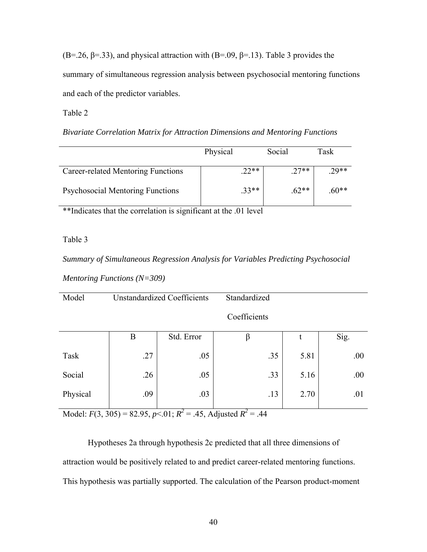(B=.26,  $\beta$ =.33), and physical attraction with (B=.09,  $\beta$ =.13). Table 3 provides the summary of simultaneous regression analysis between psychosocial mentoring functions and each of the predictor variables.

Table 2

| Bivariate Correlation Matrix for Attraction Dimensions and Mentoring Functions |  |  |  |  |  |  |  |  |
|--------------------------------------------------------------------------------|--|--|--|--|--|--|--|--|
|--------------------------------------------------------------------------------|--|--|--|--|--|--|--|--|

|                                         | Physical | Social  | Task   |
|-----------------------------------------|----------|---------|--------|
| Career-related Mentoring Functions      | $.22**$  | $.27**$ | $29**$ |
| <b>Psychosocial Mentoring Functions</b> | $.33**$  | $.62**$ | $60**$ |

\*\*Indicates that the correlation is significant at the .01 level

# Table 3

*Summary of Simultaneous Regression Analysis for Variables Predicting Psychosocial Mentoring Functions (N=309)* 

| Model    |     | <b>Unstandardized Coefficients</b> | Standardized |      |      |
|----------|-----|------------------------------------|--------------|------|------|
|          |     |                                    | Coefficients |      |      |
|          | B   | Std. Error                         | β            | t    | Sig. |
| Task     | .27 | .05                                | .35          | 5.81 | .00. |
| Social   | .26 | .05                                | .33          | 5.16 | .00. |
| Physical | .09 | .03                                | .13          | 2.70 | .01  |

Model:  $F(3, 305) = 82.95, p < 0.01; R^2 = 0.45,$  Adjusted  $R^2 = 0.44$ 

Hypotheses 2a through hypothesis 2c predicted that all three dimensions of attraction would be positively related to and predict career-related mentoring functions. This hypothesis was partially supported. The calculation of the Pearson product-moment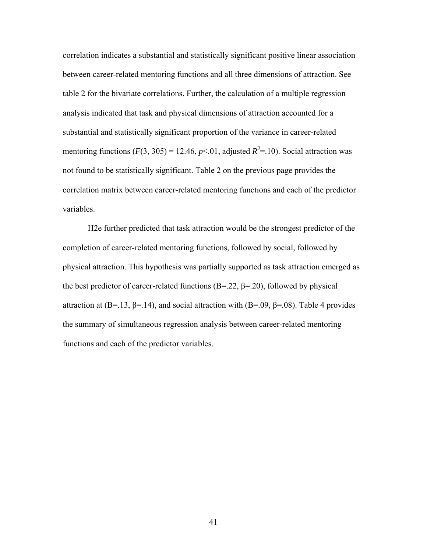correlation indicates a substantial and statistically significant positive linear association between career-related mentoring functions and all three dimensions of attraction. See table 2 for the bivariate correlations. Further, the calculation of a multiple regression analysis indicated that task and physical dimensions of attraction accounted for a substantial and statistically significant proportion of the variance in career-related mentoring functions  $(F(3, 305) = 12.46, p<0.01,$  adjusted  $R^2 = .10$ ). Social attraction was not found to be statistically significant. Table 2 on the previous page provides the correlation matrix between career-related mentoring functions and each of the predictor variables.

H2e further predicted that task attraction would be the strongest predictor of the completion of career-related mentoring functions, followed by social, followed by physical attraction. This hypothesis was partially supported as task attraction emerged as the best predictor of career-related functions  $(B=22, \beta=20)$ , followed by physical attraction at (B=.13, β=.14), and social attraction with (B=.09, β=.08). Table 4 provides the summary of simultaneous regression analysis between career-related mentoring functions and each of the predictor variables.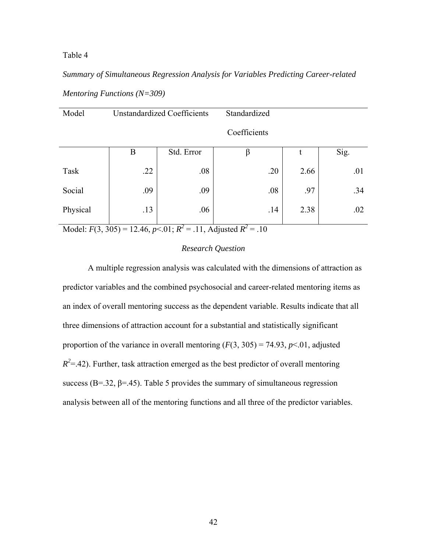Table 4

*Summary of Simultaneous Regression Analysis for Variables Predicting Career-related Mentoring Functions (N=309)* 

| Model    | <b>Unstandardized Coefficients</b> |            | Standardized |      |      |
|----------|------------------------------------|------------|--------------|------|------|
|          |                                    |            | Coefficients |      |      |
|          | $\boldsymbol{B}$                   | Std. Error | β            | t    | Sig. |
| Task     | .22                                | .08        | .20          | 2.66 | .01  |
| Social   | .09                                | .09        | .08          | .97  | .34  |
| Physical | .13                                | .06        | .14          | 2.38 | .02  |

Model:  $F(3, 305) = 12.46$ ,  $p < 0.01$ ;  $R^2 = 0.11$ , Adjusted  $R^2 = 0.10$ 

# *Research Question*

A multiple regression analysis was calculated with the dimensions of attraction as predictor variables and the combined psychosocial and career-related mentoring items as an index of overall mentoring success as the dependent variable. Results indicate that all three dimensions of attraction account for a substantial and statistically significant proportion of the variance in overall mentoring  $(F(3, 305) = 74.93, p<0.01,$  adjusted  $R^2 = 0.42$ ). Further, task attraction emerged as the best predictor of overall mentoring success (B=.32,  $\beta$ =.45). Table 5 provides the summary of simultaneous regression analysis between all of the mentoring functions and all three of the predictor variables.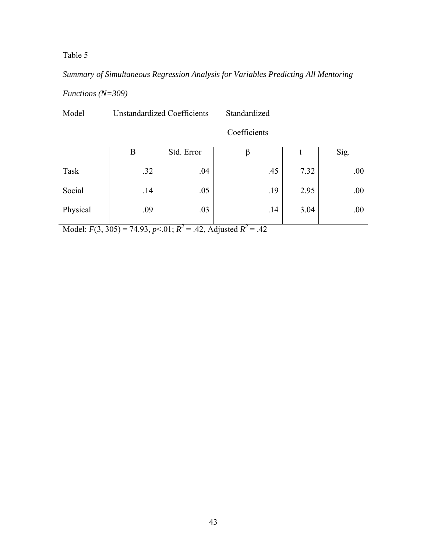# Table 5

# *Summary of Simultaneous Regression Analysis for Variables Predicting All Mentoring*

| <i>Functions</i> $(N=309)$ |  |
|----------------------------|--|
|----------------------------|--|

| Model    | <b>Unstandardized Coefficients</b> |            | Standardized |      |      |
|----------|------------------------------------|------------|--------------|------|------|
|          |                                    |            | Coefficients |      |      |
|          | B                                  | Std. Error | β            | t    | Sig. |
| Task     | .32                                | .04        | .45          | 7.32 | .00  |
| Social   | .14                                | .05        | .19          | 2.95 | .00  |
| Physical | .09                                | .03        | .14          | 3.04 | .00  |

Model:  $F(3, 305) = 74.93$ ,  $p<.01$ ;  $R^2 = .42$ , Adjusted  $R^2 = .42$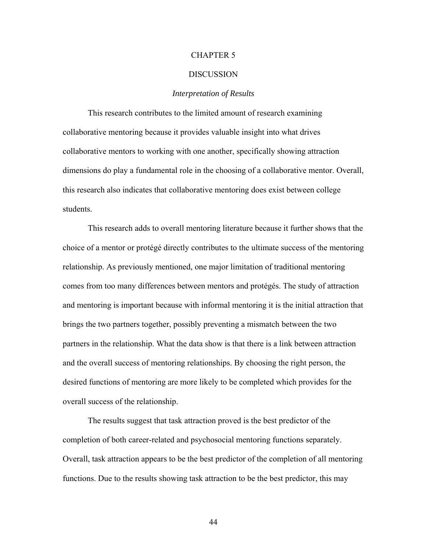#### CHAPTER 5

#### DISCUSSION

# *Interpretation of Results*

 This research contributes to the limited amount of research examining collaborative mentoring because it provides valuable insight into what drives collaborative mentors to working with one another, specifically showing attraction dimensions do play a fundamental role in the choosing of a collaborative mentor. Overall, this research also indicates that collaborative mentoring does exist between college students.

This research adds to overall mentoring literature because it further shows that the choice of a mentor or protégé directly contributes to the ultimate success of the mentoring relationship. As previously mentioned, one major limitation of traditional mentoring comes from too many differences between mentors and protégés. The study of attraction and mentoring is important because with informal mentoring it is the initial attraction that brings the two partners together, possibly preventing a mismatch between the two partners in the relationship. What the data show is that there is a link between attraction and the overall success of mentoring relationships. By choosing the right person, the desired functions of mentoring are more likely to be completed which provides for the overall success of the relationship.

The results suggest that task attraction proved is the best predictor of the completion of both career-related and psychosocial mentoring functions separately. Overall, task attraction appears to be the best predictor of the completion of all mentoring functions. Due to the results showing task attraction to be the best predictor, this may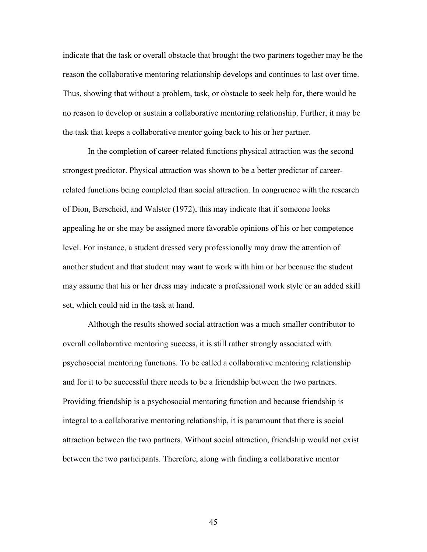indicate that the task or overall obstacle that brought the two partners together may be the reason the collaborative mentoring relationship develops and continues to last over time. Thus, showing that without a problem, task, or obstacle to seek help for, there would be no reason to develop or sustain a collaborative mentoring relationship. Further, it may be the task that keeps a collaborative mentor going back to his or her partner.

 In the completion of career-related functions physical attraction was the second strongest predictor. Physical attraction was shown to be a better predictor of careerrelated functions being completed than social attraction. In congruence with the research of Dion, Berscheid, and Walster (1972), this may indicate that if someone looks appealing he or she may be assigned more favorable opinions of his or her competence level. For instance, a student dressed very professionally may draw the attention of another student and that student may want to work with him or her because the student may assume that his or her dress may indicate a professional work style or an added skill set, which could aid in the task at hand.

 Although the results showed social attraction was a much smaller contributor to overall collaborative mentoring success, it is still rather strongly associated with psychosocial mentoring functions. To be called a collaborative mentoring relationship and for it to be successful there needs to be a friendship between the two partners. Providing friendship is a psychosocial mentoring function and because friendship is integral to a collaborative mentoring relationship, it is paramount that there is social attraction between the two partners. Without social attraction, friendship would not exist between the two participants. Therefore, along with finding a collaborative mentor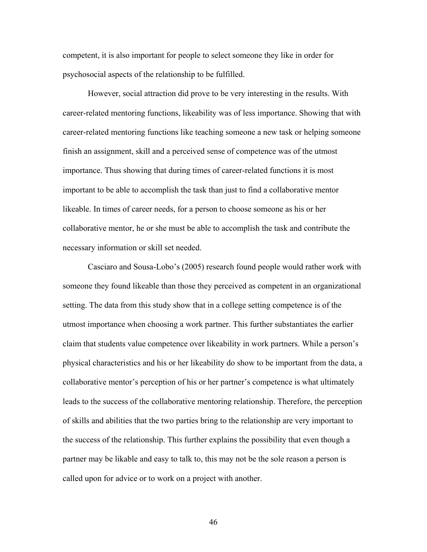competent, it is also important for people to select someone they like in order for psychosocial aspects of the relationship to be fulfilled.

However, social attraction did prove to be very interesting in the results. With career-related mentoring functions, likeability was of less importance. Showing that with career-related mentoring functions like teaching someone a new task or helping someone finish an assignment, skill and a perceived sense of competence was of the utmost importance. Thus showing that during times of career-related functions it is most important to be able to accomplish the task than just to find a collaborative mentor likeable. In times of career needs, for a person to choose someone as his or her collaborative mentor, he or she must be able to accomplish the task and contribute the necessary information or skill set needed.

Casciaro and Sousa-Lobo's (2005) research found people would rather work with someone they found likeable than those they perceived as competent in an organizational setting. The data from this study show that in a college setting competence is of the utmost importance when choosing a work partner. This further substantiates the earlier claim that students value competence over likeability in work partners. While a person's physical characteristics and his or her likeability do show to be important from the data, a collaborative mentor's perception of his or her partner's competence is what ultimately leads to the success of the collaborative mentoring relationship. Therefore, the perception of skills and abilities that the two parties bring to the relationship are very important to the success of the relationship. This further explains the possibility that even though a partner may be likable and easy to talk to, this may not be the sole reason a person is called upon for advice or to work on a project with another.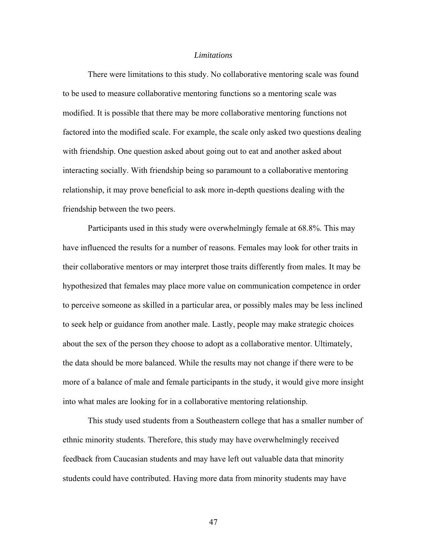## *Limitations*

 There were limitations to this study. No collaborative mentoring scale was found to be used to measure collaborative mentoring functions so a mentoring scale was modified. It is possible that there may be more collaborative mentoring functions not factored into the modified scale. For example, the scale only asked two questions dealing with friendship. One question asked about going out to eat and another asked about interacting socially. With friendship being so paramount to a collaborative mentoring relationship, it may prove beneficial to ask more in-depth questions dealing with the friendship between the two peers.

Participants used in this study were overwhelmingly female at 68.8%. This may have influenced the results for a number of reasons. Females may look for other traits in their collaborative mentors or may interpret those traits differently from males. It may be hypothesized that females may place more value on communication competence in order to perceive someone as skilled in a particular area, or possibly males may be less inclined to seek help or guidance from another male. Lastly, people may make strategic choices about the sex of the person they choose to adopt as a collaborative mentor. Ultimately, the data should be more balanced. While the results may not change if there were to be more of a balance of male and female participants in the study, it would give more insight into what males are looking for in a collaborative mentoring relationship.

This study used students from a Southeastern college that has a smaller number of ethnic minority students. Therefore, this study may have overwhelmingly received feedback from Caucasian students and may have left out valuable data that minority students could have contributed. Having more data from minority students may have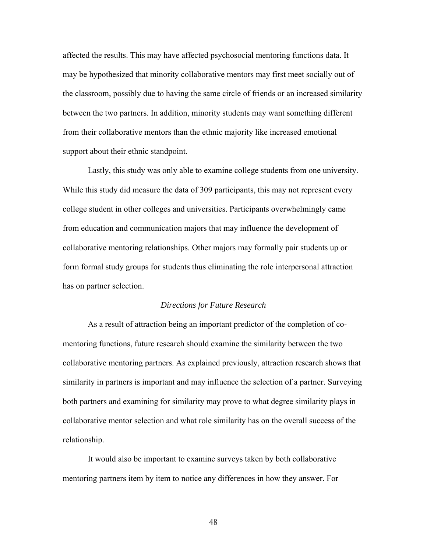affected the results. This may have affected psychosocial mentoring functions data. It may be hypothesized that minority collaborative mentors may first meet socially out of the classroom, possibly due to having the same circle of friends or an increased similarity between the two partners. In addition, minority students may want something different from their collaborative mentors than the ethnic majority like increased emotional support about their ethnic standpoint.

Lastly, this study was only able to examine college students from one university. While this study did measure the data of 309 participants, this may not represent every college student in other colleges and universities. Participants overwhelmingly came from education and communication majors that may influence the development of collaborative mentoring relationships. Other majors may formally pair students up or form formal study groups for students thus eliminating the role interpersonal attraction has on partner selection.

#### *Directions for Future Research*

 As a result of attraction being an important predictor of the completion of comentoring functions, future research should examine the similarity between the two collaborative mentoring partners. As explained previously, attraction research shows that similarity in partners is important and may influence the selection of a partner. Surveying both partners and examining for similarity may prove to what degree similarity plays in collaborative mentor selection and what role similarity has on the overall success of the relationship.

 It would also be important to examine surveys taken by both collaborative mentoring partners item by item to notice any differences in how they answer. For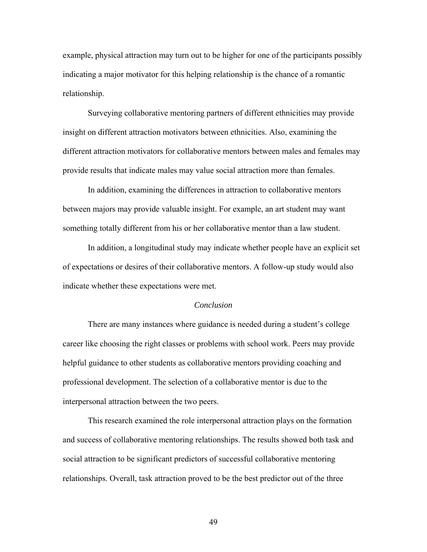example, physical attraction may turn out to be higher for one of the participants possibly indicating a major motivator for this helping relationship is the chance of a romantic relationship.

Surveying collaborative mentoring partners of different ethnicities may provide insight on different attraction motivators between ethnicities. Also, examining the different attraction motivators for collaborative mentors between males and females may provide results that indicate males may value social attraction more than females.

In addition, examining the differences in attraction to collaborative mentors between majors may provide valuable insight. For example, an art student may want something totally different from his or her collaborative mentor than a law student.

In addition, a longitudinal study may indicate whether people have an explicit set of expectations or desires of their collaborative mentors. A follow-up study would also indicate whether these expectations were met.

#### *Conclusion*

 There are many instances where guidance is needed during a student's college career like choosing the right classes or problems with school work. Peers may provide helpful guidance to other students as collaborative mentors providing coaching and professional development. The selection of a collaborative mentor is due to the interpersonal attraction between the two peers.

This research examined the role interpersonal attraction plays on the formation and success of collaborative mentoring relationships. The results showed both task and social attraction to be significant predictors of successful collaborative mentoring relationships. Overall, task attraction proved to be the best predictor out of the three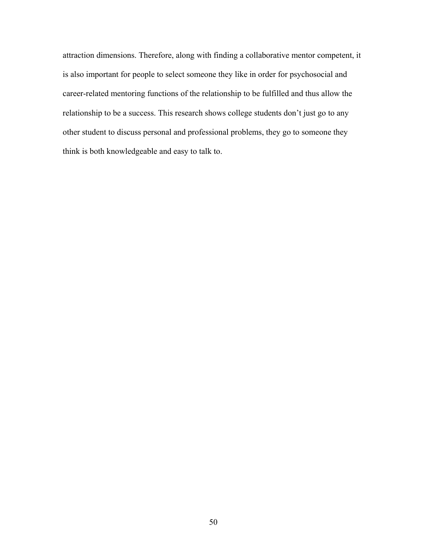attraction dimensions. Therefore, along with finding a collaborative mentor competent, it is also important for people to select someone they like in order for psychosocial and career-related mentoring functions of the relationship to be fulfilled and thus allow the relationship to be a success. This research shows college students don't just go to any other student to discuss personal and professional problems, they go to someone they think is both knowledgeable and easy to talk to.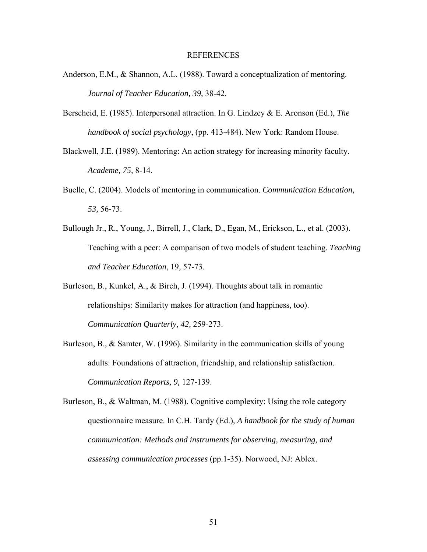#### REFERENCES

- Anderson, E.M., & Shannon, A.L. (1988). Toward a conceptualization of mentoring. *Journal of Teacher Education, 39,* 38-42.
- Berscheid, E. (1985). Interpersonal attraction. In G. Lindzey & E. Aronson (Ed.), *The handbook of social psychology*, (pp. 413-484). New York: Random House.
- Blackwell, J.E. (1989). Mentoring: An action strategy for increasing minority faculty. *Academe, 75,* 8-14.
- Buelle, C. (2004). Models of mentoring in communication. *Communication Education, 53,* 56-73.
- Bullough Jr., R., Young, J., Birrell, J., Clark, D., Egan, M., Erickson, L., et al. (2003). Teaching with a peer: A comparison of two models of student teaching. *Teaching and Teacher Education*, 19*,* 57-73.
- Burleson, B., Kunkel, A., & Birch, J. (1994). Thoughts about talk in romantic relationships: Similarity makes for attraction (and happiness, too). *Communication Quarterly, 42,* 259-273.
- Burleson, B., & Samter, W. (1996). Similarity in the communication skills of young adults: Foundations of attraction, friendship, and relationship satisfaction. *Communication Reports, 9,* 127-139.
- Burleson, B., & Waltman, M. (1988). Cognitive complexity: Using the role category questionnaire measure. In C.H. Tardy (Ed.), *A handbook for the study of human communication: Methods and instruments for observing, measuring, and assessing communication processes* (pp.1-35). Norwood, NJ: Ablex.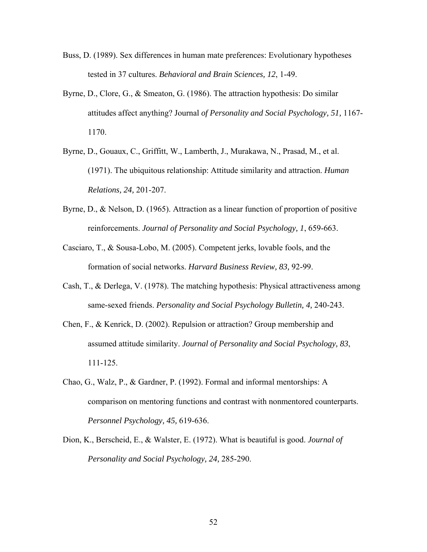- Buss, D. (1989). Sex differences in human mate preferences: Evolutionary hypotheses tested in 37 cultures. *Behavioral and Brain Sciences, 12*, 1-49.
- Byrne, D., Clore, G., & Smeaton, G. (1986). The attraction hypothesis: Do similar attitudes affect anything? Journal *of Personality and Social Psychology, 51,* 1167- 1170.
- Byrne, D., Gouaux, C., Griffitt, W., Lamberth, J., Murakawa, N., Prasad, M., et al. (1971). The ubiquitous relationship: Attitude similarity and attraction. *Human Relations, 24,* 201-207.
- Byrne, D., & Nelson, D. (1965). Attraction as a linear function of proportion of positive reinforcements. *Journal of Personality and Social Psychology, 1*, 659-663.
- Casciaro, T., & Sousa-Lobo, M. (2005). Competent jerks, lovable fools, and the formation of social networks. *Harvard Business Review, 83,* 92-99.
- Cash, T., & Derlega, V. (1978). The matching hypothesis: Physical attractiveness among same-sexed friends. *Personality and Social Psychology Bulletin, 4,* 240-243.
- Chen, F., & Kenrick, D. (2002). Repulsion or attraction? Group membership and assumed attitude similarity. *Journal of Personality and Social Psychology, 83*, 111-125.
- Chao, G., Walz, P., & Gardner, P. (1992). Formal and informal mentorships: A comparison on mentoring functions and contrast with nonmentored counterparts. *Personnel Psychology, 45,* 619-636.
- Dion, K., Berscheid, E., & Walster, E. (1972). What is beautiful is good. *Journal of Personality and Social Psychology, 24,* 285-290.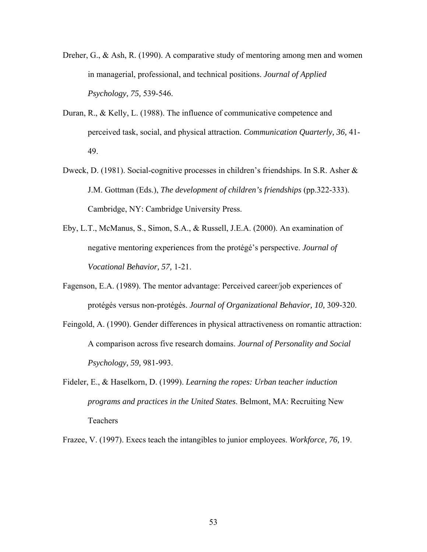- Dreher, G., & Ash, R. (1990). A comparative study of mentoring among men and women in managerial, professional, and technical positions. *Journal of Applied Psychology, 75,* 539-546.
- Duran, R., & Kelly, L. (1988). The influence of communicative competence and perceived task, social, and physical attraction. *Communication Quarterly, 36,* 41- 49.
- Dweck, D. (1981). Social-cognitive processes in children's friendships. In S.R. Asher & J.M. Gottman (Eds.), *The development of children's friendships* (pp.322-333). Cambridge, NY: Cambridge University Press.
- Eby, L.T., McManus, S., Simon, S.A., & Russell, J.E.A. (2000). An examination of negative mentoring experiences from the protégé's perspective. *Journal of Vocational Behavior, 57,* 1-21.
- Fagenson, E.A. (1989). The mentor advantage: Perceived career/job experiences of protégés versus non-protégés. *Journal of Organizational Behavior, 10,* 309-320.
- Feingold, A. (1990). Gender differences in physical attractiveness on romantic attraction: A comparison across five research domains. *Journal of Personality and Social Psychology, 59,* 981-993.
- Fideler, E., & Haselkorn, D. (1999). *Learning the ropes: Urban teacher induction programs and practices in the United States*. Belmont, MA: Recruiting New Teachers

Frazee, V. (1997). Execs teach the intangibles to junior employees. *Workforce, 76,* 19.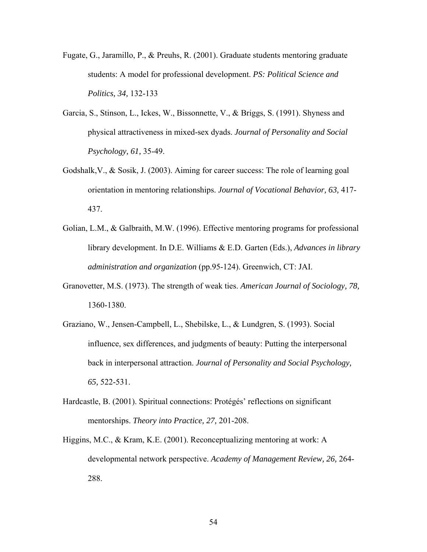- Fugate, G., Jaramillo, P., & Preuhs, R. (2001). Graduate students mentoring graduate students: A model for professional development. *PS: Political Science and Politics, 34,* 132-133
- Garcia, S., Stinson, L., Ickes, W., Bissonnette, V., & Briggs, S. (1991). Shyness and physical attractiveness in mixed-sex dyads. *Journal of Personality and Social Psychology, 61,* 35-49.
- Godshalk,V., & Sosik, J. (2003). Aiming for career success: The role of learning goal orientation in mentoring relationships. *Journal of Vocational Behavior, 63,* 417- 437.
- Golian, L.M., & Galbraith, M.W. (1996). Effective mentoring programs for professional library development. In D.E. Williams & E.D. Garten (Eds.), *Advances in library administration and organization* (pp.95-124). Greenwich, CT: JAI.
- Granovetter, M.S. (1973). The strength of weak ties. *American Journal of Sociology, 78,* 1360-1380.
- Graziano, W., Jensen-Campbell, L., Shebilske, L., & Lundgren, S. (1993). Social influence, sex differences, and judgments of beauty: Putting the interpersonal back in interpersonal attraction. *Journal of Personality and Social Psychology, 65,* 522-531.
- Hardcastle, B. (2001). Spiritual connections: Protégés' reflections on significant mentorships. *Theory into Practice, 27,* 201-208.
- Higgins, M.C., & Kram, K.E. (2001). Reconceptualizing mentoring at work: A developmental network perspective. *Academy of Management Review, 26,* 264- 288.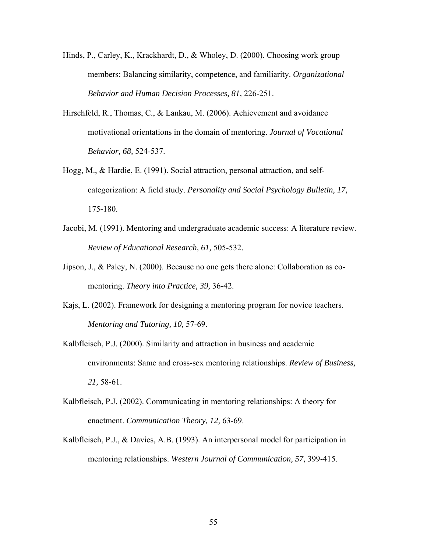- Hinds, P., Carley, K., Krackhardt, D., & Wholey, D. (2000). Choosing work group members: Balancing similarity, competence, and familiarity. *Organizational Behavior and Human Decision Processes, 81,* 226-251.
- Hirschfeld, R., Thomas, C., & Lankau, M. (2006). Achievement and avoidance motivational orientations in the domain of mentoring. *Journal of Vocational Behavior, 68,* 524-537.
- Hogg, M., & Hardie, E. (1991). Social attraction, personal attraction, and selfcategorization: A field study. *Personality and Social Psychology Bulletin, 17,* 175-180.
- Jacobi, M. (1991). Mentoring and undergraduate academic success: A literature review. *Review of Educational Research, 61,* 505-532.
- Jipson, J., & Paley, N. (2000). Because no one gets there alone: Collaboration as comentoring. *Theory into Practice, 39,* 36-42.
- Kajs, L. (2002). Framework for designing a mentoring program for novice teachers. *Mentoring and Tutoring, 10,* 57-69.
- Kalbfleisch, P.J. (2000). Similarity and attraction in business and academic environments: Same and cross-sex mentoring relationships. *Review of Business, 21,* 58-61.
- Kalbfleisch, P.J. (2002). Communicating in mentoring relationships: A theory for enactment. *Communication Theory, 12,* 63-69.
- Kalbfleisch, P.J., & Davies, A.B. (1993). An interpersonal model for participation in mentoring relationships. *Western Journal of Communication, 57,* 399-415.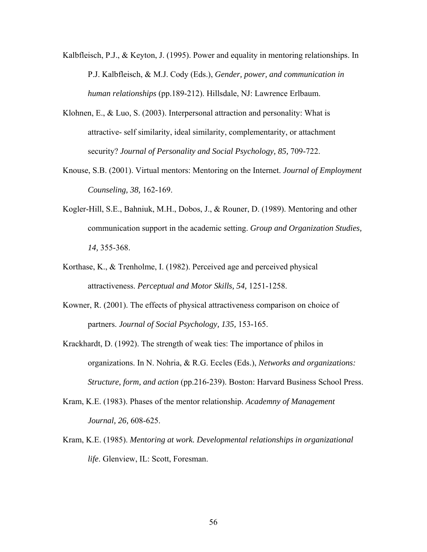- Kalbfleisch, P.J., & Keyton, J. (1995). Power and equality in mentoring relationships. In P.J. Kalbfleisch, & M.J. Cody (Eds.), *Gender, power, and communication in human relationships* (pp.189-212). Hillsdale, NJ: Lawrence Erlbaum.
- Klohnen, E., & Luo, S. (2003). Interpersonal attraction and personality: What is attractive- self similarity, ideal similarity, complementarity, or attachment security? *Journal of Personality and Social Psychology, 85,* 709-722.
- Knouse, S.B. (2001). Virtual mentors: Mentoring on the Internet. *Journal of Employment Counseling, 38,* 162-169.
- Kogler-Hill, S.E., Bahniuk, M.H., Dobos, J., & Rouner, D. (1989). Mentoring and other communication support in the academic setting. *Group and Organization Studies, 14,* 355-368.
- Korthase, K., & Trenholme, I. (1982). Perceived age and perceived physical attractiveness. *Perceptual and Motor Skills, 54,* 1251-1258.
- Kowner, R. (2001). The effects of physical attractiveness comparison on choice of partners. *Journal of Social Psychology, 135,* 153-165.
- Krackhardt, D. (1992). The strength of weak ties: The importance of philos in organizations. In N. Nohria, & R.G. Eccles (Eds.), *Networks and organizations: Structure, form, and action* (pp.216-239). Boston: Harvard Business School Press.
- Kram, K.E. (1983). Phases of the mentor relationship. *Academny of Management Journal, 26,* 608-625.
- Kram, K.E. (1985). *Mentoring at work. Developmental relationships in organizational life*. Glenview, IL: Scott, Foresman.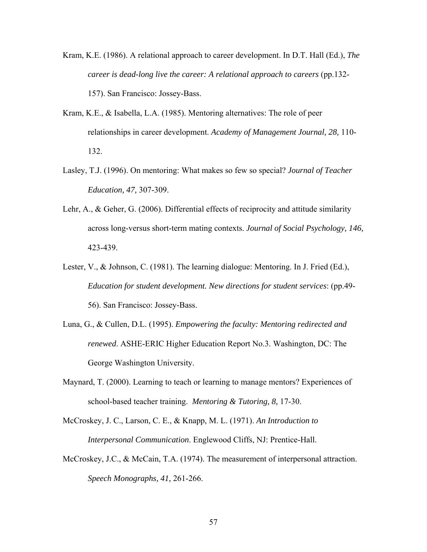- Kram, K.E. (1986). A relational approach to career development. In D.T. Hall (Ed.), *The career is dead-long live the career: A relational approach to careers* (pp.132- 157). San Francisco: Jossey-Bass.
- Kram, K.E., & Isabella, L.A. (1985). Mentoring alternatives: The role of peer relationships in career development. *Academy of Management Journal, 28,* 110- 132.
- Lasley, T.J. (1996). On mentoring: What makes so few so special? *Journal of Teacher Education, 47,* 307-309.
- Lehr, A., & Geher, G. (2006). Differential effects of reciprocity and attitude similarity across long-versus short-term mating contexts. *Journal of Social Psychology, 146,* 423-439.
- Lester, V., & Johnson, C. (1981). The learning dialogue: Mentoring. In J. Fried (Ed.), *Education for student development. New directions for student services*: (pp.49- 56). San Francisco: Jossey-Bass.
- Luna, G., & Cullen, D.L. (1995). *Empowering the faculty: Mentoring redirected and renewed*. ASHE-ERIC Higher Education Report No.3. Washington, DC: The George Washington University.
- Maynard, T. (2000). Learning to teach or learning to manage mentors? Experiences of school-based teacher training. *Mentoring & Tutoring, 8,* 17-30.
- McCroskey, J. C., Larson, C. E., & Knapp, M. L. (1971). *An Introduction to Interpersonal Communication*. Englewood Cliffs, NJ: Prentice-Hall.
- McCroskey, J.C., & McCain, T.A. (1974). The measurement of interpersonal attraction. *Speech Monographs, 41,* 261-266.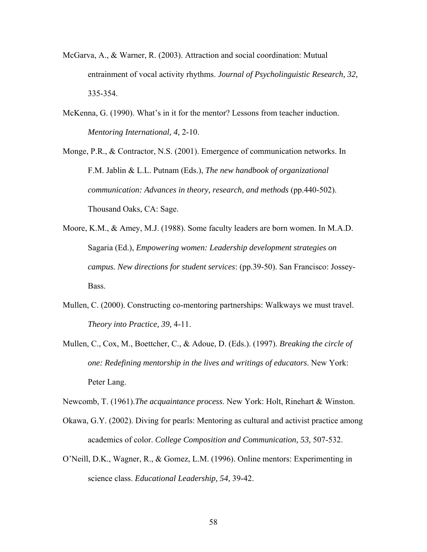- McGarva, A., & Warner, R. (2003). Attraction and social coordination: Mutual entrainment of vocal activity rhythms. *Journal of Psycholinguistic Research, 32,* 335-354.
- McKenna, G. (1990). What's in it for the mentor? Lessons from teacher induction. *Mentoring International, 4,* 2-10.

Monge, P.R., & Contractor, N.S. (2001). Emergence of communication networks. In F.M. Jablin & L.L. Putnam (Eds.), *The new handbook of organizational communication: Advances in theory, research, and methods* (pp.440-502). Thousand Oaks, CA: Sage.

- Moore, K.M., & Amey, M.J. (1988). Some faculty leaders are born women. In M.A.D. Sagaria (Ed.), *Empowering women: Leadership development strategies on campus. New directions for student services*: (pp.39-50). San Francisco: Jossey-Bass.
- Mullen, C. (2000). Constructing co-mentoring partnerships: Walkways we must travel. *Theory into Practice, 39,* 4-11.
- Mullen, C., Cox, M., Boettcher, C., & Adoue, D. (Eds.). (1997). *Breaking the circle of one: Redefining mentorship in the lives and writings of educators*. New York: Peter Lang.

Newcomb, T. (1961).*The acquaintance process*. New York: Holt, Rinehart & Winston.

- Okawa, G.Y. (2002). Diving for pearls: Mentoring as cultural and activist practice among academics of color. *College Composition and Communication, 53,* 507-532.
- O'Neill, D.K., Wagner, R., & Gomez, L.M. (1996). Online mentors: Experimenting in science class. *Educational Leadership, 54,* 39-42.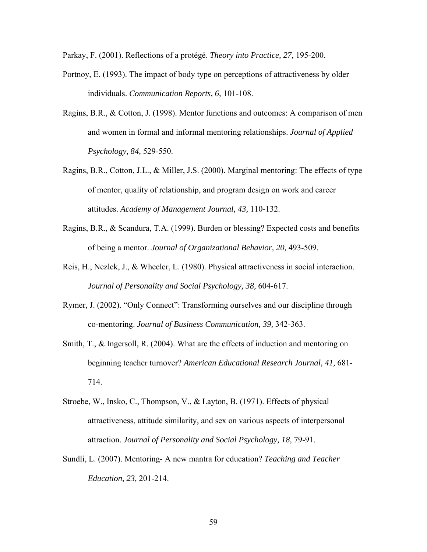Parkay, F. (2001). Reflections of a protégé. *Theory into Practice, 27,* 195-200.

- Portnoy, E. (1993). The impact of body type on perceptions of attractiveness by older individuals. *Communication Reports, 6,* 101-108.
- Ragins, B.R., & Cotton, J. (1998). Mentor functions and outcomes: A comparison of men and women in formal and informal mentoring relationships. *Journal of Applied Psychology, 84,* 529-550.
- Ragins, B.R., Cotton, J.L., & Miller, J.S. (2000). Marginal mentoring: The effects of type of mentor, quality of relationship, and program design on work and career attitudes. *Academy of Management Journal, 43,* 110-132.
- Ragins, B.R., & Scandura, T.A. (1999). Burden or blessing? Expected costs and benefits of being a mentor. *Journal of Organizational Behavior, 20,* 493-509.
- Reis, H., Nezlek, J., & Wheeler, L. (1980). Physical attractiveness in social interaction. *Journal of Personality and Social Psychology, 38,* 604-617.
- Rymer, J. (2002). "Only Connect": Transforming ourselves and our discipline through co-mentoring. *Journal of Business Communication, 39,* 342-363.
- Smith, T., & Ingersoll, R. (2004). What are the effects of induction and mentoring on beginning teacher turnover? *American Educational Research Journal, 41,* 681- 714.
- Stroebe, W., Insko, C., Thompson, V., & Layton, B. (1971). Effects of physical attractiveness, attitude similarity, and sex on various aspects of interpersonal attraction. *Journal of Personality and Social Psychology, 18,* 79-91.
- Sundli, L. (2007). Mentoring- A new mantra for education? *Teaching and Teacher Education*, *23,* 201-214.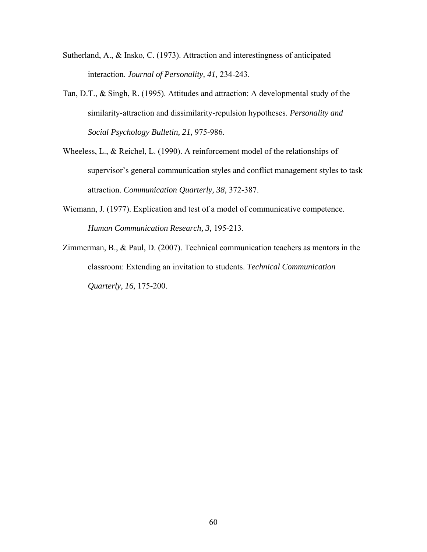- Sutherland, A., & Insko, C. (1973). Attraction and interestingness of anticipated interaction. *Journal of Personality, 41,* 234-243.
- Tan, D.T., & Singh, R. (1995). Attitudes and attraction: A developmental study of the similarity-attraction and dissimilarity-repulsion hypotheses. *Personality and Social Psychology Bulletin, 21,* 975-986.
- Wheeless, L., & Reichel, L. (1990). A reinforcement model of the relationships of supervisor's general communication styles and conflict management styles to task attraction. *Communication Quarterly, 38,* 372-387.
- Wiemann, J. (1977). Explication and test of a model of communicative competence. *Human Communication Research, 3,* 195-213.
- Zimmerman, B., & Paul, D. (2007). Technical communication teachers as mentors in the classroom: Extending an invitation to students. *Technical Communication Quarterly, 16,* 175-200.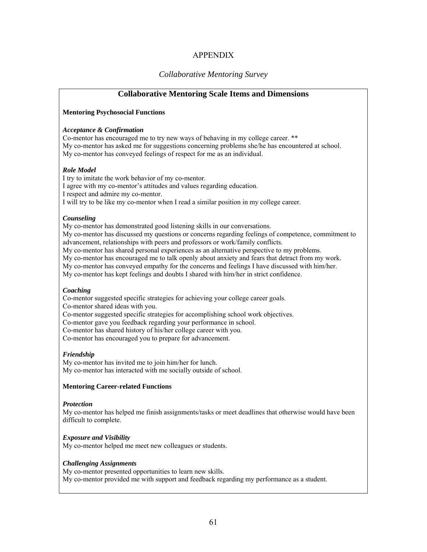# APPENDIX

# *Collaborative Mentoring Survey*

# **Collaborative Mentoring Scale Items and Dimensions**

#### **Mentoring Psychosocial Functions**

#### *Acceptance & Confirmation*

Co-mentor has encouraged me to try new ways of behaving in my college career. \*\* My co-mentor has asked me for suggestions concerning problems she/he has encountered at school. My co-mentor has conveyed feelings of respect for me as an individual.

#### *Role Model*

I try to imitate the work behavior of my co-mentor. I agree with my co-mentor's attitudes and values regarding education. I respect and admire my co-mentor. I will try to be like my co-mentor when I read a similar position in my college career.

#### *Counseling*

My co-mentor has demonstrated good listening skills in our conversations.

My co-mentor has discussed my questions or concerns regarding feelings of competence, commitment to advancement, relationships with peers and professors or work/family conflicts.

My co-mentor has shared personal experiences as an alternative perspective to my problems.

My co-mentor has encouraged me to talk openly about anxiety and fears that detract from my work.

My co-mentor has conveyed empathy for the concerns and feelings I have discussed with him/her.

My co-mentor has kept feelings and doubts I shared with him/her in strict confidence.

#### *Coaching*

Co-mentor suggested specific strategies for achieving your college career goals. Co-mentor shared ideas with you. Co-mentor suggested specific strategies for accomplishing school work objectives. Co-mentor gave you feedback regarding your performance in school.

Co-mentor has shared history of his/her college career with you.

Co-mentor has encouraged you to prepare for advancement.

# *Friendship*

My co-mentor has invited me to join him/her for lunch. My co-mentor has interacted with me socially outside of school.

#### **Mentoring Career-related Functions**

#### *Protection*

My co-mentor has helped me finish assignments/tasks or meet deadlines that otherwise would have been difficult to complete.

#### *Exposure and Visibility*

My co-mentor helped me meet new colleagues or students.

#### *Challenging Assignments*

My co-mentor presented opportunities to learn new skills. My co-mentor provided me with support and feedback regarding my performance as a student.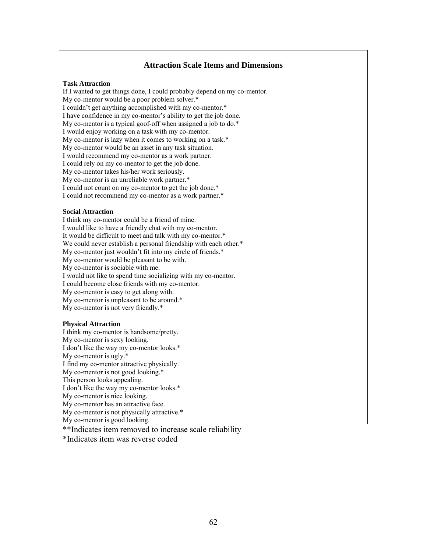# **Attraction Scale Items and Dimensions**

#### **Task Attraction**

If I wanted to get things done, I could probably depend on my co-mentor. My co-mentor would be a poor problem solver.\* I couldn't get anything accomplished with my co-mentor.\* I have confidence in my co-mentor's ability to get the job done. My co-mentor is a typical goof-off when assigned a job to do.\* I would enjoy working on a task with my co-mentor. My co-mentor is lazy when it comes to working on a task.\* My co-mentor would be an asset in any task situation. I would recommend my co-mentor as a work partner. I could rely on my co-mentor to get the job done. My co-mentor takes his/her work seriously. My co-mentor is an unreliable work partner.\* I could not count on my co-mentor to get the job done.\* I could not recommend my co-mentor as a work partner.\*

#### **Social Attraction**

I think my co-mentor could be a friend of mine. I would like to have a friendly chat with my co-mentor. It would be difficult to meet and talk with my co-mentor.\* We could never establish a personal friendship with each other.\* My co-mentor just wouldn't fit into my circle of friends.\* My co-mentor would be pleasant to be with. My co-mentor is sociable with me. I would not like to spend time socializing with my co-mentor. I could become close friends with my co-mentor. My co-mentor is easy to get along with. My co-mentor is unpleasant to be around.\* My co-mentor is not very friendly.\*

#### **Physical Attraction**

I think my co-mentor is handsome/pretty.

My co-mentor is sexy looking.

I don't like the way my co-mentor looks.\*

My co-mentor is ugly.\*

I find my co-mentor attractive physically.

My co-mentor is not good looking.\*

This person looks appealing.

I don't like the way my co-mentor looks.\*

My co-mentor is nice looking.

My co-mentor has an attractive face.

My co-mentor is not physically attractive.\*

My co-mentor is good looking.

\*\*Indicates item removed to increase scale reliability

\*Indicates item was reverse coded